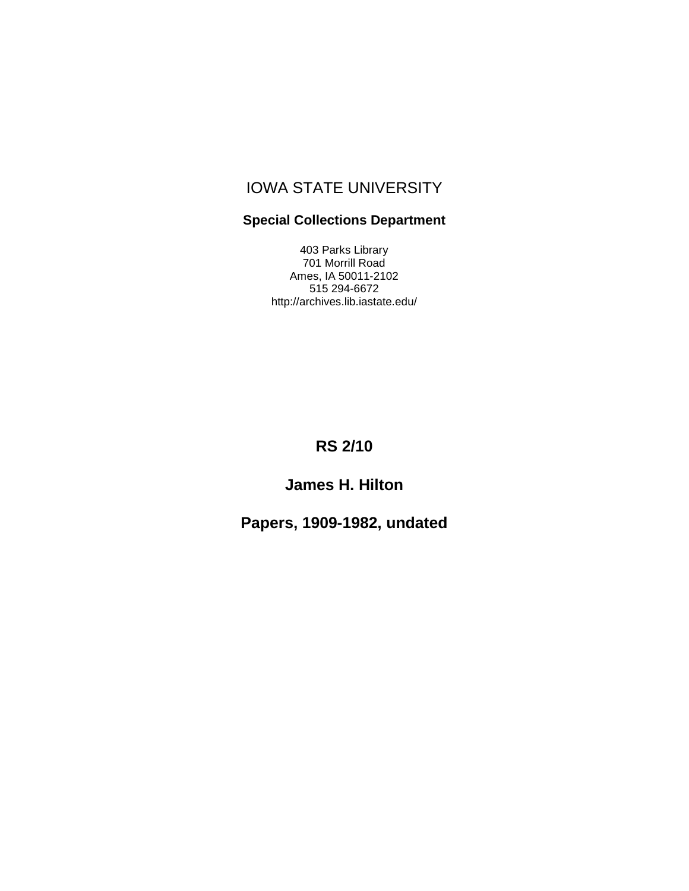# IOWA STATE UNIVERSITY

#### **Special Collections Department**

403 Parks Library 701 Morrill Road Ames, IA 50011-2102 515 294-6672 http://archives.lib.iastate.edu/

# **RS 2/10**

# **James H. Hilton**

# **Papers, 1909-1982, undated**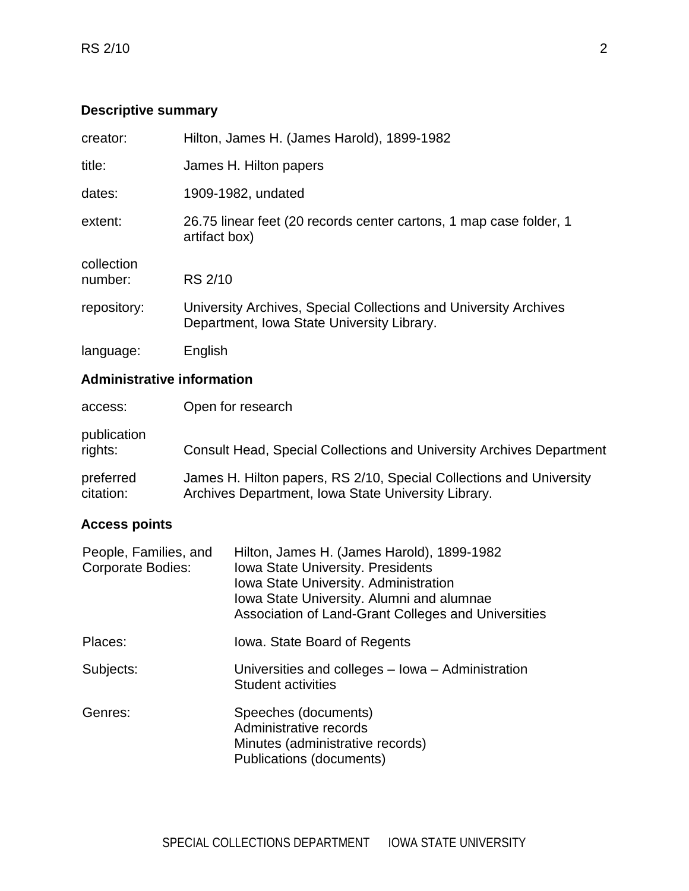## **Descriptive summary**

| creator:              | Hilton, James H. (James Harold), 1899-1982                                                                     |
|-----------------------|----------------------------------------------------------------------------------------------------------------|
| title:                | James H. Hilton papers                                                                                         |
| dates:                | 1909-1982, undated                                                                                             |
| extent:               | 26.75 linear feet (20 records center cartons, 1 map case folder, 1<br>artifact box)                            |
| collection<br>number: | RS 2/10                                                                                                        |
| repository:           | University Archives, Special Collections and University Archives<br>Department, Iowa State University Library. |
| language:             | English                                                                                                        |

### **Administrative information**

| access:                | Open for research                                                                                                          |
|------------------------|----------------------------------------------------------------------------------------------------------------------------|
| publication<br>rights: | <b>Consult Head, Special Collections and University Archives Department</b>                                                |
| preferred<br>citation: | James H. Hilton papers, RS 2/10, Special Collections and University<br>Archives Department, Iowa State University Library. |

## **Access points**

| People, Families, and<br><b>Corporate Bodies:</b> | Hilton, James H. (James Harold), 1899-1982<br><b>Iowa State University. Presidents</b><br>Iowa State University. Administration<br>Iowa State University. Alumni and alumnae<br>Association of Land-Grant Colleges and Universities |
|---------------------------------------------------|-------------------------------------------------------------------------------------------------------------------------------------------------------------------------------------------------------------------------------------|
| Places:                                           | lowa. State Board of Regents                                                                                                                                                                                                        |
| Subjects:                                         | Universities and colleges – Iowa – Administration<br><b>Student activities</b>                                                                                                                                                      |
| Genres:                                           | Speeches (documents)<br>Administrative records<br>Minutes (administrative records)<br>Publications (documents)                                                                                                                      |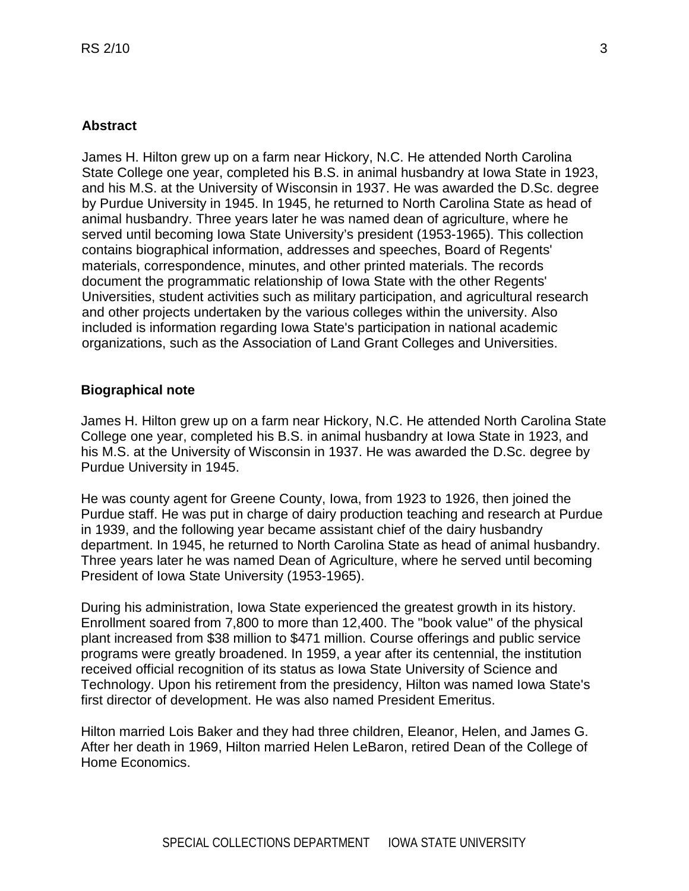#### **Abstract**

James H. Hilton grew up on a farm near Hickory, N.C. He attended North Carolina State College one year, completed his B.S. in animal husbandry at Iowa State in 1923, and his M.S. at the University of Wisconsin in 1937. He was awarded the D.Sc. degree by Purdue University in 1945. In 1945, he returned to North Carolina State as head of animal husbandry. Three years later he was named dean of agriculture, where he served until becoming Iowa State University's president (1953-1965). This collection contains biographical information, addresses and speeches, Board of Regents' materials, correspondence, minutes, and other printed materials. The records document the programmatic relationship of Iowa State with the other Regents' Universities, student activities such as military participation, and agricultural research and other projects undertaken by the various colleges within the university. Also included is information regarding Iowa State's participation in national academic organizations, such as the Association of Land Grant Colleges and Universities.

#### **Biographical note**

James H. Hilton grew up on a farm near Hickory, N.C. He attended North Carolina State College one year, completed his B.S. in animal husbandry at Iowa State in 1923, and his M.S. at the University of Wisconsin in 1937. He was awarded the D.Sc. degree by Purdue University in 1945.

He was county agent for Greene County, Iowa, from 1923 to 1926, then joined the Purdue staff. He was put in charge of dairy production teaching and research at Purdue in 1939, and the following year became assistant chief of the dairy husbandry department. In 1945, he returned to North Carolina State as head of animal husbandry. Three years later he was named Dean of Agriculture, where he served until becoming President of Iowa State University (1953-1965).

During his administration, Iowa State experienced the greatest growth in its history. Enrollment soared from 7,800 to more than 12,400. The "book value" of the physical plant increased from \$38 million to \$471 million. Course offerings and public service programs were greatly broadened. In 1959, a year after its centennial, the institution received official recognition of its status as Iowa State University of Science and Technology. Upon his retirement from the presidency, Hilton was named Iowa State's first director of development. He was also named President Emeritus.

Hilton married Lois Baker and they had three children, Eleanor, Helen, and James G. After her death in 1969, Hilton married Helen LeBaron, retired Dean of the College of Home Economics.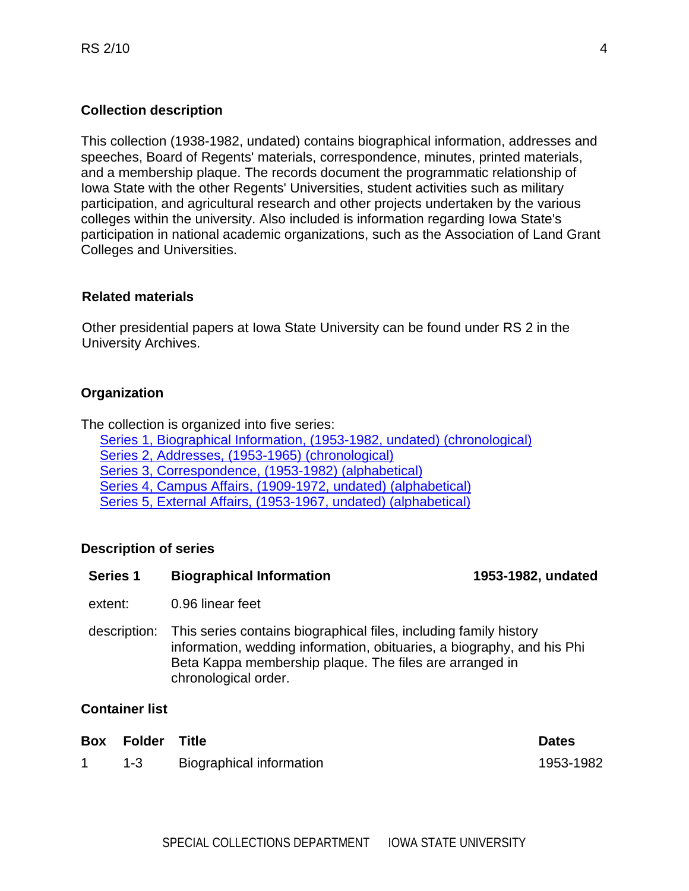#### **Collection description**

This collection (1938-1982, undated) contains biographical information, addresses and speeches, Board of Regents' materials, correspondence, minutes, printed materials, and a membership plaque. The records document the programmatic relationship of Iowa State with the other Regents' Universities, student activities such as military participation, and agricultural research and other projects undertaken by the various colleges within the university. Also included is information regarding Iowa State's participation in national academic organizations, such as the Association of Land Grant Colleges and Universities.

#### **Related materials**

Other presidential papers at Iowa State University can be found under RS 2 in the University Archives.

#### **Organization**

The collection is organized into five series:

 [Series 1, Biographical Information, \(1953-1982, undated\) \(chronological\)](#page-3-0) [Series 2, Addresses, \(1953-1965\) \(chronological\)](#page-4-0) [Series 3, Correspondence, \(1953-1982\) \(alphabetical\)](#page-5-0) [Series 4, Campus Affairs, \(1909-1972, undated\) \(alphabetical\)](#page-8-0) [Series 5, External Affairs, \(1953-1967, undated\) \(alphabetical\)](#page-33-0)

#### <span id="page-3-0"></span>**Description of series**

| <b>Series 1</b><br><b>Biographical Information</b> |
|----------------------------------------------------|
|----------------------------------------------------|

extent: 0.96 linear feet

description: This series contains biographical files, including family history information, wedding information, obituaries, a biography, and his Phi Beta Kappa membership plaque. The files are arranged in chronological order.

#### **Container list**

| <b>Box Folder Title</b> |                          | <b>Dates</b> |
|-------------------------|--------------------------|--------------|
| 1-3                     | Biographical information | 1953-1982    |

**Series 1 Biographical Information 1953-1982, undated**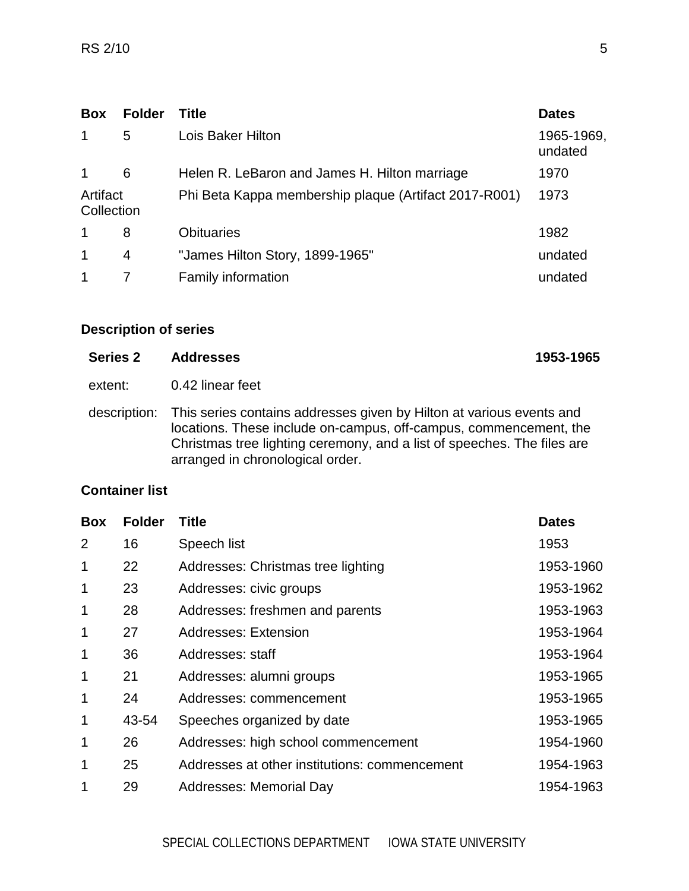| <b>Box</b>             | <b>Folder</b> | <b>Title</b>                                          | <b>Dates</b>          |
|------------------------|---------------|-------------------------------------------------------|-----------------------|
| 1                      | 5             | Lois Baker Hilton                                     | 1965-1969,<br>undated |
| $\mathbf 1$            | 6             | Helen R. LeBaron and James H. Hilton marriage         | 1970                  |
| Artifact<br>Collection |               | Phi Beta Kappa membership plaque (Artifact 2017-R001) | 1973                  |
| 1                      | 8             | <b>Obituaries</b>                                     | 1982                  |
| 1                      | 4             | "James Hilton Story, 1899-1965"                       | undated               |
| 1                      |               | <b>Family information</b>                             | undated               |

<span id="page-4-0"></span>

| <b>Series 2</b> | 1953-1965<br><b>Addresses</b>                                                                                                                                                                                                                                         |  |
|-----------------|-----------------------------------------------------------------------------------------------------------------------------------------------------------------------------------------------------------------------------------------------------------------------|--|
| extent:         | 0.42 linear feet                                                                                                                                                                                                                                                      |  |
|                 | description: This series contains addresses given by Hilton at various events and<br>locations. These include on-campus, off-campus, commencement, the<br>Christmas tree lighting ceremony, and a list of speeches. The files are<br>arranged in chronological order. |  |

### **Container list**

| <b>Box</b>     | <b>Folder</b> | <b>Title</b>                                  | <b>Dates</b> |
|----------------|---------------|-----------------------------------------------|--------------|
| $\overline{2}$ | 16            | Speech list                                   | 1953         |
| 1              | 22            | Addresses: Christmas tree lighting            | 1953-1960    |
| 1              | 23            | Addresses: civic groups                       | 1953-1962    |
| 1              | 28            | Addresses: freshmen and parents               | 1953-1963    |
| 1              | 27            | <b>Addresses: Extension</b>                   | 1953-1964    |
| 1              | 36            | Addresses: staff                              | 1953-1964    |
| 1              | 21            | Addresses: alumni groups                      | 1953-1965    |
| 1              | 24            | Addresses: commencement                       | 1953-1965    |
| 1              | 43-54         | Speeches organized by date                    | 1953-1965    |
| 1              | 26            | Addresses: high school commencement           | 1954-1960    |
| 1              | 25            | Addresses at other institutions: commencement | 1954-1963    |
| 1              | 29            | Addresses: Memorial Day                       | 1954-1963    |
|                |               |                                               |              |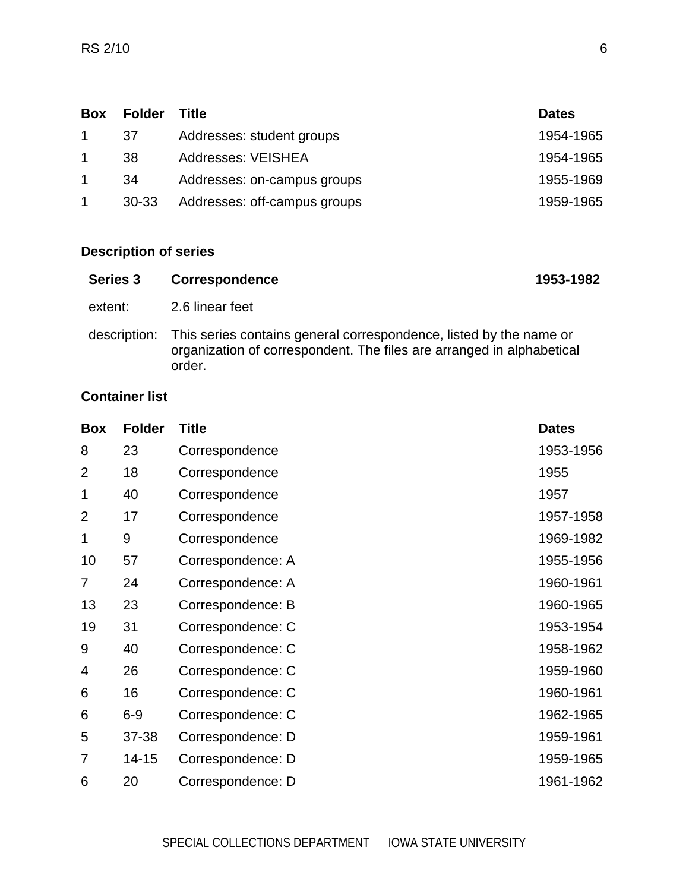| <b>Box</b> | <b>Folder</b> | <b>Title</b>                 | <b>Dates</b> |
|------------|---------------|------------------------------|--------------|
|            | -37           | Addresses: student groups    | 1954-1965    |
|            | 38            | <b>Addresses: VEISHEA</b>    | 1954-1965    |
|            | -34           | Addresses: on-campus groups  | 1955-1969    |
|            | 30-33         | Addresses: off-campus groups | 1959-1965    |

<span id="page-5-0"></span>

| Series 3 | <b>Correspondence</b>                                                                                                                                              | 1953-1982 |
|----------|--------------------------------------------------------------------------------------------------------------------------------------------------------------------|-----------|
| extent:  | 2.6 linear feet                                                                                                                                                    |           |
|          | description: This series contains general correspondence, listed by the name or<br>organization of correspondent. The files are arranged in alphabetical<br>order. |           |

# **Container list**

| <b>Box</b>     | <b>Folder</b> | <b>Title</b>      | <b>Dates</b> |
|----------------|---------------|-------------------|--------------|
| 8              | 23            | Correspondence    | 1953-1956    |
| $\overline{2}$ | 18            | Correspondence    | 1955         |
| 1              | 40            | Correspondence    | 1957         |
| $\overline{2}$ | 17            | Correspondence    | 1957-1958    |
| 1              | 9             | Correspondence    | 1969-1982    |
| 10             | 57            | Correspondence: A | 1955-1956    |
| $\overline{7}$ | 24            | Correspondence: A | 1960-1961    |
| 13             | 23            | Correspondence: B | 1960-1965    |
| 19             | 31            | Correspondence: C | 1953-1954    |
| 9              | 40            | Correspondence: C | 1958-1962    |
| 4              | 26            | Correspondence: C | 1959-1960    |
| 6              | 16            | Correspondence: C | 1960-1961    |
| 6              | $6-9$         | Correspondence: C | 1962-1965    |
| 5              | 37-38         | Correspondence: D | 1959-1961    |
| 7              | $14 - 15$     | Correspondence: D | 1959-1965    |
| 6              | 20            | Correspondence: D | 1961-1962    |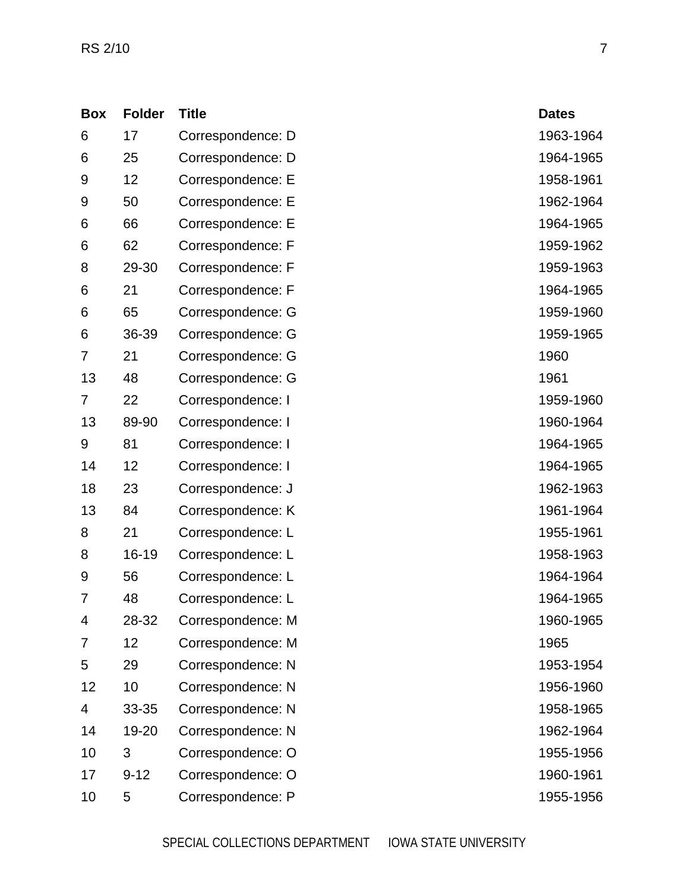| <b>Box</b>     | <b>Folder</b> | <b>Title</b>      | <b>Dates</b> |
|----------------|---------------|-------------------|--------------|
| 6              | 17            | Correspondence: D | 1963-1964    |
| 6              | 25            | Correspondence: D | 1964-1965    |
| 9              | 12            | Correspondence: E | 1958-1961    |
| 9              | 50            | Correspondence: E | 1962-1964    |
| 6              | 66            | Correspondence: E | 1964-1965    |
| 6              | 62            | Correspondence: F | 1959-1962    |
| 8              | 29-30         | Correspondence: F | 1959-1963    |
| 6              | 21            | Correspondence: F | 1964-1965    |
| 6              | 65            | Correspondence: G | 1959-1960    |
| 6              | 36-39         | Correspondence: G | 1959-1965    |
| 7              | 21            | Correspondence: G | 1960         |
| 13             | 48            | Correspondence: G | 1961         |
| $\overline{7}$ | 22            | Correspondence: I | 1959-1960    |
| 13             | 89-90         | Correspondence: I | 1960-1964    |
| 9              | 81            | Correspondence: I | 1964-1965    |
| 14             | 12            | Correspondence: I | 1964-1965    |
| 18             | 23            | Correspondence: J | 1962-1963    |
| 13             | 84            | Correspondence: K | 1961-1964    |
| 8              | 21            | Correspondence: L | 1955-1961    |
| 8              | 16-19         | Correspondence: L | 1958-1963    |
| 9              | 56            | Correspondence: L | 1964-1964    |
| 7              | 48            | Correspondence: L | 1964-1965    |
| 4              | 28-32         | Correspondence: M | 1960-1965    |
| 7              | 12            | Correspondence: M | 1965         |
| 5              | 29            | Correspondence: N | 1953-1954    |
| 12             | 10            | Correspondence: N | 1956-1960    |
| 4              | 33-35         | Correspondence: N | 1958-1965    |
| 14             | 19-20         | Correspondence: N | 1962-1964    |
| 10             | 3             | Correspondence: O | 1955-1956    |
| 17             | $9 - 12$      | Correspondence: O | 1960-1961    |
| 10             | 5             | Correspondence: P | 1955-1956    |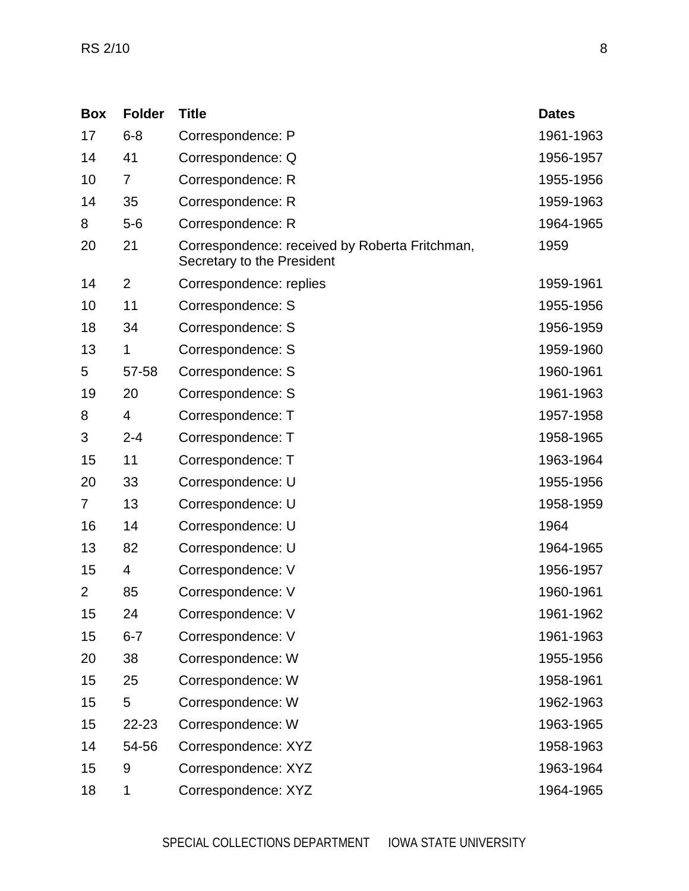| <b>Box</b>     | <b>Folder</b>  | <b>Title</b>                                                                 | <b>Dates</b> |
|----------------|----------------|------------------------------------------------------------------------------|--------------|
| 17             | $6 - 8$        | Correspondence: P                                                            | 1961-1963    |
| 14             | 41             | Correspondence: Q                                                            | 1956-1957    |
| 10             | 7              | Correspondence: R                                                            | 1955-1956    |
| 14             | 35             | Correspondence: R                                                            | 1959-1963    |
| 8              | $5-6$          | Correspondence: R                                                            | 1964-1965    |
| 20             | 21             | Correspondence: received by Roberta Fritchman,<br>Secretary to the President | 1959         |
| 14             | $\overline{2}$ | Correspondence: replies                                                      | 1959-1961    |
| 10             | 11             | Correspondence: S                                                            | 1955-1956    |
| 18             | 34             | Correspondence: S                                                            | 1956-1959    |
| 13             | 1              | Correspondence: S                                                            | 1959-1960    |
| 5              | 57-58          | Correspondence: S                                                            | 1960-1961    |
| 19             | 20             | Correspondence: S                                                            | 1961-1963    |
| 8              | 4              | Correspondence: T                                                            | 1957-1958    |
| 3              | $2 - 4$        | Correspondence: T                                                            | 1958-1965    |
| 15             | 11             | Correspondence: T                                                            | 1963-1964    |
| 20             | 33             | Correspondence: U                                                            | 1955-1956    |
| 7              | 13             | Correspondence: U                                                            | 1958-1959    |
| 16             | 14             | Correspondence: U                                                            | 1964         |
| 13             | 82             | Correspondence: U                                                            | 1964-1965    |
| 15             | 4              | Correspondence: V                                                            | 1956-1957    |
| $\overline{2}$ | 85             | Correspondence: V                                                            | 1960-1961    |
| 15             | 24             | Correspondence: V                                                            | 1961-1962    |
| 15             | $6 - 7$        | Correspondence: V                                                            | 1961-1963    |
| 20             | 38             | Correspondence: W                                                            | 1955-1956    |
| 15             | 25             | Correspondence: W                                                            | 1958-1961    |
| 15             | 5              | Correspondence: W                                                            | 1962-1963    |
| 15             | 22-23          | Correspondence: W                                                            | 1963-1965    |
| 14             | 54-56          | Correspondence: XYZ                                                          | 1958-1963    |
| 15             | 9              | Correspondence: XYZ                                                          | 1963-1964    |
| 18             | 1              | Correspondence: XYZ                                                          | 1964-1965    |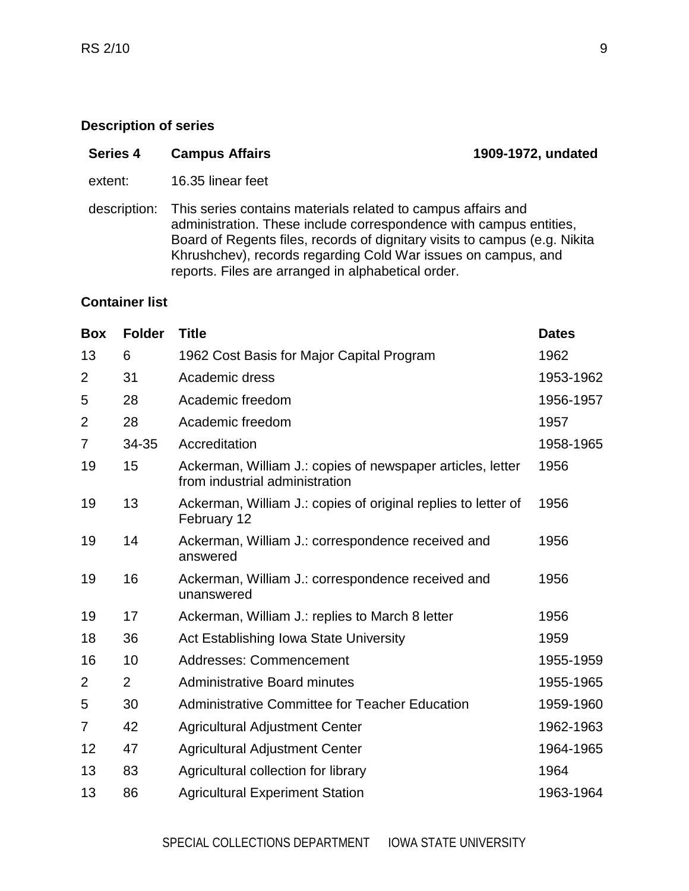<span id="page-8-0"></span>

| <b>Series 4</b><br><b>Campus Affairs</b> |  |
|------------------------------------------|--|
|------------------------------------------|--|

- extent: 16.35 linear feet
- description: This series contains materials related to campus affairs and administration. These include correspondence with campus entities, Board of Regents files, records of dignitary visits to campus (e.g. Nikita Khrushchev), records regarding Cold War issues on campus, and reports. Files are arranged in alphabetical order.

#### **Container list**

| <b>Box</b>     | <b>Folder</b>  | <b>Title</b>                                                                                 | <b>Dates</b> |
|----------------|----------------|----------------------------------------------------------------------------------------------|--------------|
| 13             | 6              | 1962 Cost Basis for Major Capital Program                                                    | 1962         |
| $\overline{2}$ | 31             | Academic dress                                                                               | 1953-1962    |
| 5              | 28             | Academic freedom                                                                             | 1956-1957    |
| $\overline{2}$ | 28             | Academic freedom                                                                             | 1957         |
| $\overline{7}$ | 34-35          | Accreditation                                                                                | 1958-1965    |
| 19             | 15             | Ackerman, William J.: copies of newspaper articles, letter<br>from industrial administration | 1956         |
| 19             | 13             | Ackerman, William J.: copies of original replies to letter of<br>February 12                 | 1956         |
| 19             | 14             | Ackerman, William J.: correspondence received and<br>answered                                | 1956         |
| 19             | 16             | Ackerman, William J.: correspondence received and<br>unanswered                              | 1956         |
| 19             | 17             | Ackerman, William J.: replies to March 8 letter                                              | 1956         |
| 18             | 36             | Act Establishing Iowa State University                                                       | 1959         |
| 16             | 10             | <b>Addresses: Commencement</b>                                                               | 1955-1959    |
| $\overline{2}$ | $\overline{2}$ | <b>Administrative Board minutes</b>                                                          | 1955-1965    |
| 5              | 30             | <b>Administrative Committee for Teacher Education</b>                                        | 1959-1960    |
| 7              | 42             | <b>Agricultural Adjustment Center</b>                                                        | 1962-1963    |
| 12             | 47             | <b>Agricultural Adjustment Center</b>                                                        | 1964-1965    |
| 13             | 83             | Agricultural collection for library                                                          | 1964         |
| 13             | 86             | <b>Agricultural Experiment Station</b>                                                       | 1963-1964    |

**Series 4 Campus Affairs 1909-1972, undated**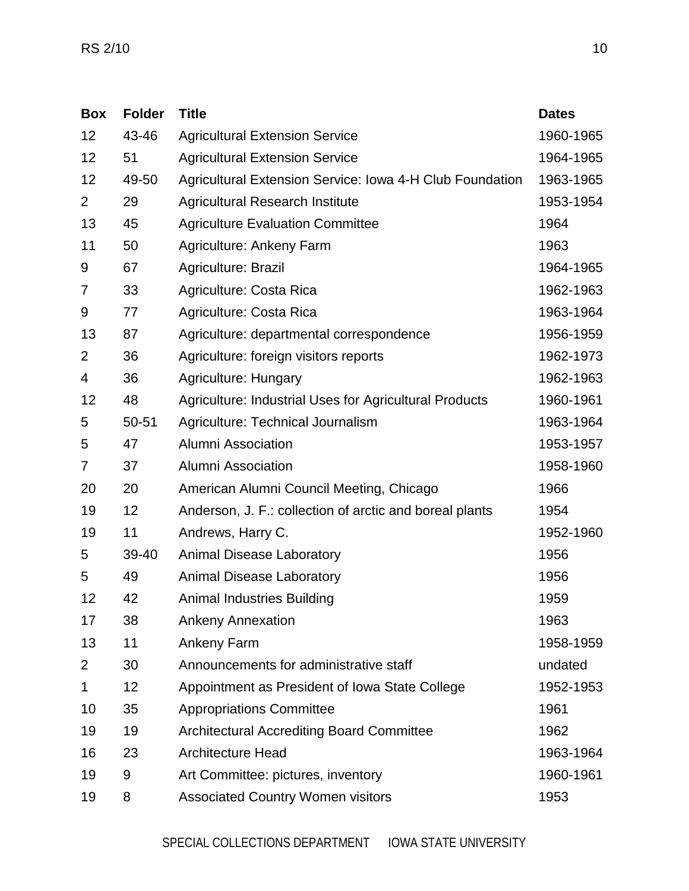| <b>Box</b>     | <b>Folder</b> | <b>Title</b>                                                  | <b>Dates</b> |
|----------------|---------------|---------------------------------------------------------------|--------------|
| 12             | 43-46         | <b>Agricultural Extension Service</b>                         | 1960-1965    |
| 12             | 51            | <b>Agricultural Extension Service</b>                         | 1964-1965    |
| 12             | 49-50         | Agricultural Extension Service: Iowa 4-H Club Foundation      | 1963-1965    |
| $\overline{2}$ | 29            | <b>Agricultural Research Institute</b>                        | 1953-1954    |
| 13             | 45            | <b>Agriculture Evaluation Committee</b>                       | 1964         |
| 11             | 50            | Agriculture: Ankeny Farm                                      | 1963         |
| 9              | 67            | Agriculture: Brazil                                           | 1964-1965    |
| 7              | 33            | Agriculture: Costa Rica                                       | 1962-1963    |
| 9              | 77            | Agriculture: Costa Rica                                       | 1963-1964    |
| 13             | 87            | Agriculture: departmental correspondence                      | 1956-1959    |
| $\overline{2}$ | 36            | Agriculture: foreign visitors reports                         | 1962-1973    |
| 4              | 36            | <b>Agriculture: Hungary</b>                                   | 1962-1963    |
| 12             | 48            | <b>Agriculture: Industrial Uses for Agricultural Products</b> | 1960-1961    |
| 5              | 50-51         | Agriculture: Technical Journalism                             | 1963-1964    |
| 5              | 47            | Alumni Association                                            | 1953-1957    |
| 7              | 37            | Alumni Association                                            | 1958-1960    |
| 20             | 20            | American Alumni Council Meeting, Chicago                      | 1966         |
| 19             | 12            | Anderson, J. F.: collection of arctic and boreal plants       | 1954         |
| 19             | 11            | Andrews, Harry C.                                             | 1952-1960    |
| 5              | 39-40         | <b>Animal Disease Laboratory</b>                              | 1956         |
| 5              | 49            | <b>Animal Disease Laboratory</b>                              | 1956         |
| 12             | 42            | <b>Animal Industries Building</b>                             | 1959         |
| 17             | 38            | <b>Ankeny Annexation</b>                                      | 1963         |
| 13             | 11            | <b>Ankeny Farm</b>                                            | 1958-1959    |
| $\overline{2}$ | 30            | Announcements for administrative staff                        | undated      |
| 1              | 12            | Appointment as President of Iowa State College                | 1952-1953    |
| 10             | 35            | <b>Appropriations Committee</b>                               | 1961         |
| 19             | 19            | <b>Architectural Accrediting Board Committee</b>              | 1962         |
| 16             | 23            | <b>Architecture Head</b>                                      | 1963-1964    |
| 19             | 9             | Art Committee: pictures, inventory                            | 1960-1961    |
| 19             | 8             | <b>Associated Country Women visitors</b>                      | 1953         |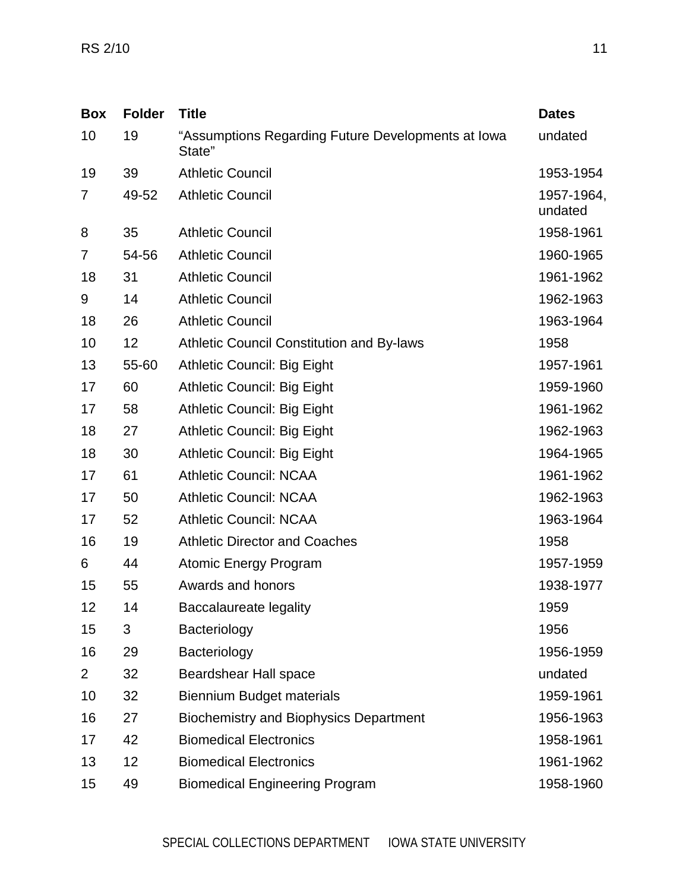| <b>Box</b>     | <b>Folder</b> | <b>Title</b>                                                 | <b>Dates</b>          |
|----------------|---------------|--------------------------------------------------------------|-----------------------|
| 10             | 19            | "Assumptions Regarding Future Developments at Iowa<br>State" | undated               |
| 19             | 39            | <b>Athletic Council</b>                                      | 1953-1954             |
| 7              | 49-52         | <b>Athletic Council</b>                                      | 1957-1964,<br>undated |
| 8              | 35            | <b>Athletic Council</b>                                      | 1958-1961             |
| 7              | 54-56         | <b>Athletic Council</b>                                      | 1960-1965             |
| 18             | 31            | <b>Athletic Council</b>                                      | 1961-1962             |
| 9              | 14            | <b>Athletic Council</b>                                      | 1962-1963             |
| 18             | 26            | <b>Athletic Council</b>                                      | 1963-1964             |
| 10             | 12            | <b>Athletic Council Constitution and By-laws</b>             | 1958                  |
| 13             | 55-60         | <b>Athletic Council: Big Eight</b>                           | 1957-1961             |
| 17             | 60            | <b>Athletic Council: Big Eight</b>                           | 1959-1960             |
| 17             | 58            | <b>Athletic Council: Big Eight</b>                           | 1961-1962             |
| 18             | 27            | Athletic Council: Big Eight                                  | 1962-1963             |
| 18             | 30            | Athletic Council: Big Eight                                  | 1964-1965             |
| 17             | 61            | <b>Athletic Council: NCAA</b>                                | 1961-1962             |
| 17             | 50            | <b>Athletic Council: NCAA</b>                                | 1962-1963             |
| 17             | 52            | <b>Athletic Council: NCAA</b>                                | 1963-1964             |
| 16             | 19            | <b>Athletic Director and Coaches</b>                         | 1958                  |
| 6              | 44            | <b>Atomic Energy Program</b>                                 | 1957-1959             |
| 15             | 55            | Awards and honors                                            | 1938-1977             |
| 12             | 14            | Baccalaureate legality                                       | 1959                  |
| 15             | 3             | Bacteriology                                                 | 1956                  |
| 16             | 29            | Bacteriology                                                 | 1956-1959             |
| $\overline{2}$ | 32            | <b>Beardshear Hall space</b>                                 | undated               |
| 10             | 32            | <b>Biennium Budget materials</b>                             | 1959-1961             |
| 16             | 27            | <b>Biochemistry and Biophysics Department</b>                | 1956-1963             |
| 17             | 42            | <b>Biomedical Electronics</b>                                | 1958-1961             |
| 13             | 12            | <b>Biomedical Electronics</b>                                | 1961-1962             |
| 15             | 49            | <b>Biomedical Engineering Program</b>                        | 1958-1960             |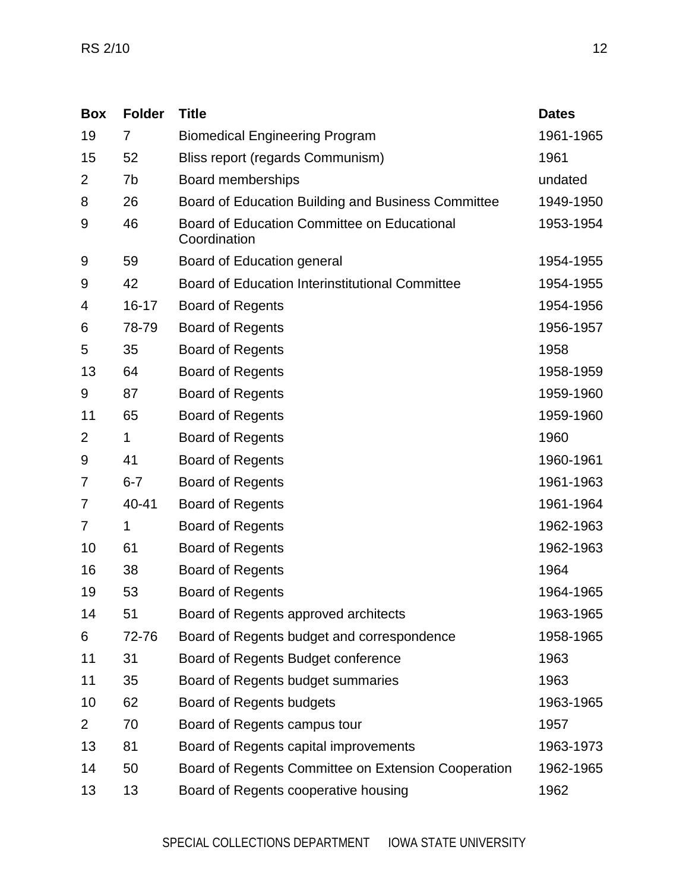| <b>Box</b>     | <b>Folder</b> | <b>Title</b>                                                | <b>Dates</b> |
|----------------|---------------|-------------------------------------------------------------|--------------|
| 19             | 7             | <b>Biomedical Engineering Program</b>                       | 1961-1965    |
| 15             | 52            | Bliss report (regards Communism)                            | 1961         |
| 2              | 7b            | Board memberships                                           | undated      |
| 8              | 26            | Board of Education Building and Business Committee          | 1949-1950    |
| 9              | 46            | Board of Education Committee on Educational<br>Coordination | 1953-1954    |
| 9              | 59            | <b>Board of Education general</b>                           | 1954-1955    |
| 9              | 42            | <b>Board of Education Interinstitutional Committee</b>      | 1954-1955    |
| 4              | $16 - 17$     | <b>Board of Regents</b>                                     | 1954-1956    |
| 6              | 78-79         | <b>Board of Regents</b>                                     | 1956-1957    |
| 5              | 35            | <b>Board of Regents</b>                                     | 1958         |
| 13             | 64            | <b>Board of Regents</b>                                     | 1958-1959    |
| 9              | 87            | <b>Board of Regents</b>                                     | 1959-1960    |
| 11             | 65            | <b>Board of Regents</b>                                     | 1959-1960    |
| $\overline{2}$ | 1             | <b>Board of Regents</b>                                     | 1960         |
| 9              | 41            | <b>Board of Regents</b>                                     | 1960-1961    |
| 7              | $6 - 7$       | <b>Board of Regents</b>                                     | 1961-1963    |
| 7              | 40-41         | <b>Board of Regents</b>                                     | 1961-1964    |
| 7              | $\mathbf 1$   | <b>Board of Regents</b>                                     | 1962-1963    |
| 10             | 61            | <b>Board of Regents</b>                                     | 1962-1963    |
| 16             | 38            | <b>Board of Regents</b>                                     | 1964         |
| 19             | 53            | <b>Board of Regents</b>                                     | 1964-1965    |
| 14             | 51            | Board of Regents approved architects                        | 1963-1965    |
| 6              | 72-76         | Board of Regents budget and correspondence                  | 1958-1965    |
| 11             | 31            | Board of Regents Budget conference                          | 1963         |
| 11             | 35            | Board of Regents budget summaries                           | 1963         |
| 10             | 62            | Board of Regents budgets                                    | 1963-1965    |
| $\overline{2}$ | 70            | Board of Regents campus tour                                | 1957         |
| 13             | 81            | Board of Regents capital improvements                       | 1963-1973    |
| 14             | 50            | Board of Regents Committee on Extension Cooperation         | 1962-1965    |
| 13             | 13            | Board of Regents cooperative housing                        | 1962         |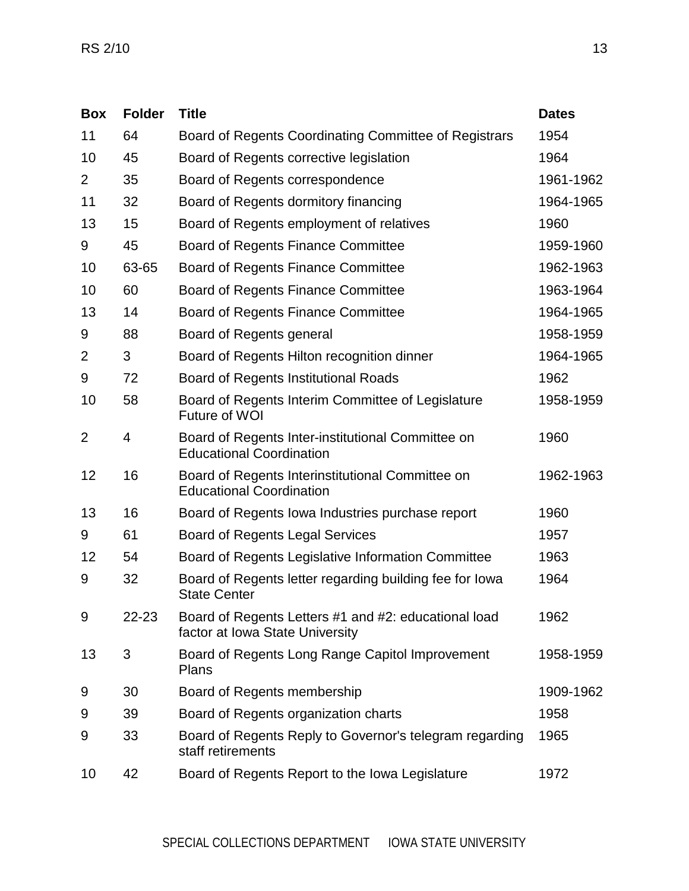| <b>Box</b>     | <b>Folder</b> | <b>Title</b>                                                                            | <b>Dates</b> |
|----------------|---------------|-----------------------------------------------------------------------------------------|--------------|
| 11             | 64            | Board of Regents Coordinating Committee of Registrars                                   | 1954         |
| 10             | 45            | Board of Regents corrective legislation                                                 | 1964         |
| $\overline{2}$ | 35            | Board of Regents correspondence                                                         | 1961-1962    |
| 11             | 32            | Board of Regents dormitory financing                                                    | 1964-1965    |
| 13             | 15            | Board of Regents employment of relatives                                                | 1960         |
| 9              | 45            | Board of Regents Finance Committee                                                      | 1959-1960    |
| 10             | 63-65         | Board of Regents Finance Committee                                                      | 1962-1963    |
| 10             | 60            | <b>Board of Regents Finance Committee</b>                                               | 1963-1964    |
| 13             | 14            | Board of Regents Finance Committee                                                      | 1964-1965    |
| 9              | 88            | Board of Regents general                                                                | 1958-1959    |
| $\overline{2}$ | 3             | Board of Regents Hilton recognition dinner                                              | 1964-1965    |
| 9              | 72            | <b>Board of Regents Institutional Roads</b>                                             | 1962         |
| 10             | 58            | Board of Regents Interim Committee of Legislature<br>Future of WOI                      | 1958-1959    |
| $\overline{2}$ | 4             | Board of Regents Inter-institutional Committee on<br><b>Educational Coordination</b>    | 1960         |
| 12             | 16            | Board of Regents Interinstitutional Committee on<br><b>Educational Coordination</b>     | 1962-1963    |
| 13             | 16            | Board of Regents Iowa Industries purchase report                                        | 1960         |
| 9              | 61            | <b>Board of Regents Legal Services</b>                                                  | 1957         |
| 12             | 54            | Board of Regents Legislative Information Committee                                      | 1963         |
| 9              | 32            | Board of Regents letter regarding building fee for lowa<br><b>State Center</b>          | 1964         |
| 9              | 22-23         | Board of Regents Letters #1 and #2: educational load<br>factor at Iowa State University | 1962         |
| 13             | 3             | Board of Regents Long Range Capitol Improvement<br>Plans                                | 1958-1959    |
| 9              | 30            | Board of Regents membership                                                             | 1909-1962    |
| 9              | 39            | Board of Regents organization charts                                                    | 1958         |
| 9              | 33            | Board of Regents Reply to Governor's telegram regarding<br>staff retirements            | 1965         |
| 10             | 42            | Board of Regents Report to the Iowa Legislature                                         | 1972         |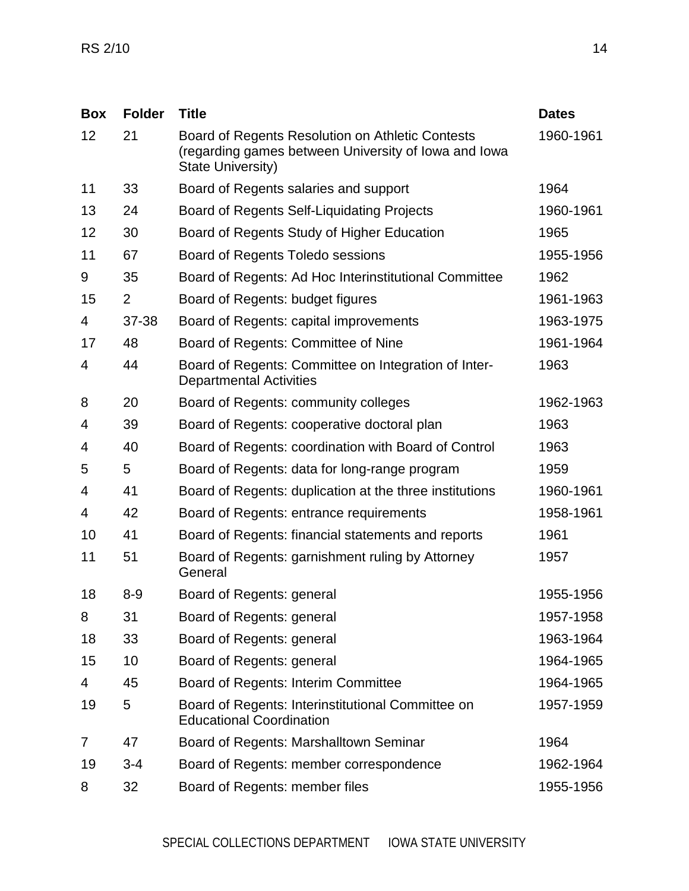| <b>Box</b> | <b>Folder</b>  | <b>Title</b>                                                                                                                         | <b>Dates</b> |
|------------|----------------|--------------------------------------------------------------------------------------------------------------------------------------|--------------|
| 12         | 21             | Board of Regents Resolution on Athletic Contests<br>(regarding games between University of Iowa and Iowa<br><b>State University)</b> | 1960-1961    |
| 11         | 33             | Board of Regents salaries and support                                                                                                | 1964         |
| 13         | 24             | Board of Regents Self-Liquidating Projects                                                                                           | 1960-1961    |
| 12         | 30             | Board of Regents Study of Higher Education                                                                                           | 1965         |
| 11         | 67             | Board of Regents Toledo sessions                                                                                                     | 1955-1956    |
| 9          | 35             | Board of Regents: Ad Hoc Interinstitutional Committee                                                                                | 1962         |
| 15         | $\overline{2}$ | Board of Regents: budget figures                                                                                                     | 1961-1963    |
| 4          | 37-38          | Board of Regents: capital improvements                                                                                               | 1963-1975    |
| 17         | 48             | Board of Regents: Committee of Nine                                                                                                  | 1961-1964    |
| 4          | 44             | Board of Regents: Committee on Integration of Inter-<br><b>Departmental Activities</b>                                               | 1963         |
| 8          | 20             | Board of Regents: community colleges                                                                                                 | 1962-1963    |
| 4          | 39             | Board of Regents: cooperative doctoral plan                                                                                          | 1963         |
| 4          | 40             | Board of Regents: coordination with Board of Control                                                                                 | 1963         |
| 5          | 5              | Board of Regents: data for long-range program                                                                                        | 1959         |
| 4          | 41             | Board of Regents: duplication at the three institutions                                                                              | 1960-1961    |
| 4          | 42             | Board of Regents: entrance requirements                                                                                              | 1958-1961    |
| 10         | 41             | Board of Regents: financial statements and reports                                                                                   | 1961         |
| 11         | 51             | Board of Regents: garnishment ruling by Attorney<br>General                                                                          | 1957         |
| 18         | $8 - 9$        | Board of Regents: general                                                                                                            | 1955-1956    |
| 8          | 31             | Board of Regents: general                                                                                                            | 1957-1958    |
| 18         | 33             | Board of Regents: general                                                                                                            | 1963-1964    |
| 15         | 10             | Board of Regents: general                                                                                                            | 1964-1965    |
| 4          | 45             | <b>Board of Regents: Interim Committee</b>                                                                                           | 1964-1965    |
| 19         | 5              | Board of Regents: Interinstitutional Committee on<br><b>Educational Coordination</b>                                                 | 1957-1959    |
| 7          | 47             | Board of Regents: Marshalltown Seminar                                                                                               | 1964         |
| 19         | $3 - 4$        | Board of Regents: member correspondence                                                                                              | 1962-1964    |
| 8          | 32             | Board of Regents: member files                                                                                                       | 1955-1956    |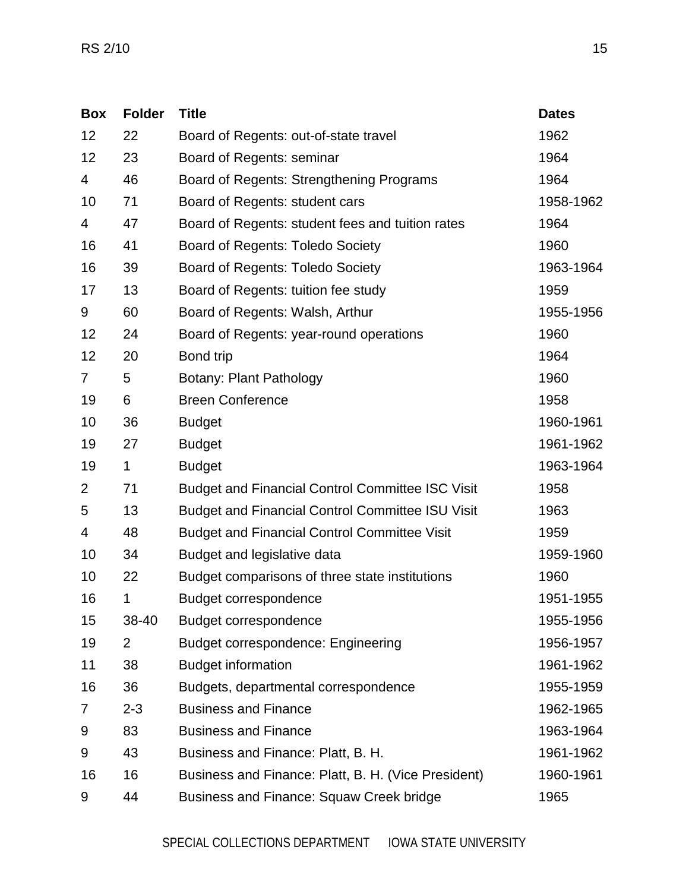| <b>Box</b>     | <b>Folder</b>  | <b>Title</b>                                            | <b>Dates</b> |
|----------------|----------------|---------------------------------------------------------|--------------|
| 12             | 22             | Board of Regents: out-of-state travel                   | 1962         |
| 12             | 23             | Board of Regents: seminar                               | 1964         |
| 4              | 46             | Board of Regents: Strengthening Programs                | 1964         |
| 10             | 71             | Board of Regents: student cars                          | 1958-1962    |
| 4              | 47             | Board of Regents: student fees and tuition rates        | 1964         |
| 16             | 41             | <b>Board of Regents: Toledo Society</b>                 | 1960         |
| 16             | 39             | <b>Board of Regents: Toledo Society</b>                 | 1963-1964    |
| 17             | 13             | Board of Regents: tuition fee study                     | 1959         |
| 9              | 60             | Board of Regents: Walsh, Arthur                         | 1955-1956    |
| 12             | 24             | Board of Regents: year-round operations                 | 1960         |
| 12             | 20             | Bond trip                                               | 1964         |
| $\overline{7}$ | 5              | <b>Botany: Plant Pathology</b>                          | 1960         |
| 19             | 6              | <b>Breen Conference</b>                                 | 1958         |
| 10             | 36             | <b>Budget</b>                                           | 1960-1961    |
| 19             | 27             | <b>Budget</b>                                           | 1961-1962    |
| 19             | $\mathbf{1}$   | <b>Budget</b>                                           | 1963-1964    |
| $\overline{2}$ | 71             | <b>Budget and Financial Control Committee ISC Visit</b> | 1958         |
| 5              | 13             | <b>Budget and Financial Control Committee ISU Visit</b> | 1963         |
| 4              | 48             | <b>Budget and Financial Control Committee Visit</b>     | 1959         |
| 10             | 34             | Budget and legislative data                             | 1959-1960    |
| 10             | 22             | Budget comparisons of three state institutions          | 1960         |
| 16             | 1              | <b>Budget correspondence</b>                            | 1951-1955    |
| 15             | 38-40          | Budget correspondence                                   | 1955-1956    |
| 19             | $\overline{2}$ | <b>Budget correspondence: Engineering</b>               | 1956-1957    |
| 11             | 38             | <b>Budget information</b>                               | 1961-1962    |
| 16             | 36             | Budgets, departmental correspondence                    | 1955-1959    |
| 7              | $2 - 3$        | <b>Business and Finance</b>                             | 1962-1965    |
| 9              | 83             | <b>Business and Finance</b>                             | 1963-1964    |
| 9              | 43             | Business and Finance: Platt, B. H.                      | 1961-1962    |
| 16             | 16             | Business and Finance: Platt, B. H. (Vice President)     | 1960-1961    |
| 9              | 44             | <b>Business and Finance: Squaw Creek bridge</b>         | 1965         |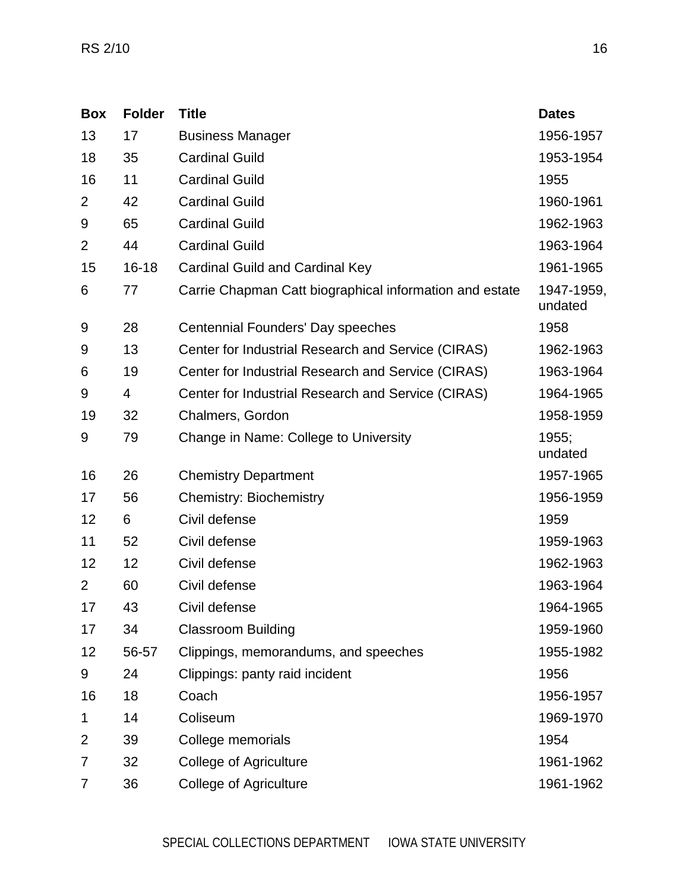| <b>Box</b>     | <b>Folder</b> | <b>Title</b>                                            | <b>Dates</b>          |
|----------------|---------------|---------------------------------------------------------|-----------------------|
| 13             | 17            | <b>Business Manager</b>                                 | 1956-1957             |
| 18             | 35            | <b>Cardinal Guild</b>                                   | 1953-1954             |
| 16             | 11            | <b>Cardinal Guild</b>                                   | 1955                  |
| $\overline{2}$ | 42            | <b>Cardinal Guild</b>                                   | 1960-1961             |
| 9              | 65            | <b>Cardinal Guild</b>                                   | 1962-1963             |
| $\overline{2}$ | 44            | <b>Cardinal Guild</b>                                   | 1963-1964             |
| 15             | $16 - 18$     | <b>Cardinal Guild and Cardinal Key</b>                  | 1961-1965             |
| 6              | 77            | Carrie Chapman Catt biographical information and estate | 1947-1959,<br>undated |
| 9              | 28            | Centennial Founders' Day speeches                       | 1958                  |
| 9              | 13            | Center for Industrial Research and Service (CIRAS)      | 1962-1963             |
| 6              | 19            | Center for Industrial Research and Service (CIRAS)      | 1963-1964             |
| 9              | 4             | Center for Industrial Research and Service (CIRAS)      | 1964-1965             |
| 19             | 32            | Chalmers, Gordon                                        | 1958-1959             |
| 9              | 79            | Change in Name: College to University                   | 1955;<br>undated      |
| 16             | 26            | <b>Chemistry Department</b>                             | 1957-1965             |
| 17             | 56            | <b>Chemistry: Biochemistry</b>                          | 1956-1959             |
| 12             | 6             | Civil defense                                           | 1959                  |
| 11             | 52            | Civil defense                                           | 1959-1963             |
| 12             | 12            | Civil defense                                           | 1962-1963             |
| $\overline{2}$ | 60            | Civil defense                                           | 1963-1964             |
| 17             | 43            | Civil defense                                           | 1964-1965             |
| 17             | 34            | <b>Classroom Building</b>                               | 1959-1960             |
| 12             | 56-57         | Clippings, memorandums, and speeches                    | 1955-1982             |
| 9              | 24            | Clippings: panty raid incident                          | 1956                  |
| 16             | 18            | Coach                                                   | 1956-1957             |
| 1              | 14            | Coliseum                                                | 1969-1970             |
| $\overline{2}$ | 39            | College memorials                                       | 1954                  |
| 7              | 32            | <b>College of Agriculture</b>                           | 1961-1962             |
| 7              | 36            | <b>College of Agriculture</b>                           | 1961-1962             |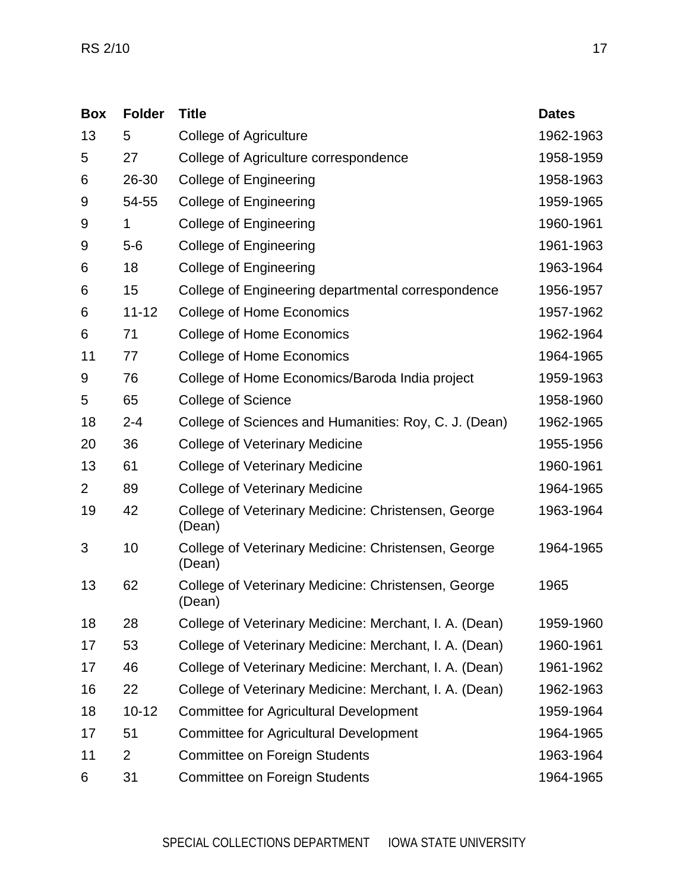| <b>Box</b>     | <b>Folder</b>  | <b>Title</b>                                                  | <b>Dates</b> |
|----------------|----------------|---------------------------------------------------------------|--------------|
| 13             | 5              | <b>College of Agriculture</b>                                 | 1962-1963    |
| 5              | 27             | College of Agriculture correspondence                         | 1958-1959    |
| 6              | 26-30          | <b>College of Engineering</b>                                 | 1958-1963    |
| 9              | 54-55          | <b>College of Engineering</b>                                 | 1959-1965    |
| 9              | 1              | <b>College of Engineering</b>                                 | 1960-1961    |
| 9              | $5-6$          | <b>College of Engineering</b>                                 | 1961-1963    |
| 6              | 18             | <b>College of Engineering</b>                                 | 1963-1964    |
| 6              | 15             | College of Engineering departmental correspondence            | 1956-1957    |
| 6              | $11 - 12$      | College of Home Economics                                     | 1957-1962    |
| 6              | 71             | <b>College of Home Economics</b>                              | 1962-1964    |
| 11             | 77             | <b>College of Home Economics</b>                              | 1964-1965    |
| 9              | 76             | College of Home Economics/Baroda India project                | 1959-1963    |
| 5              | 65             | <b>College of Science</b>                                     | 1958-1960    |
| 18             | $2 - 4$        | College of Sciences and Humanities: Roy, C. J. (Dean)         | 1962-1965    |
| 20             | 36             | College of Veterinary Medicine                                | 1955-1956    |
| 13             | 61             | College of Veterinary Medicine                                | 1960-1961    |
| $\overline{2}$ | 89             | College of Veterinary Medicine                                | 1964-1965    |
| 19             | 42             | College of Veterinary Medicine: Christensen, George<br>(Dean) | 1963-1964    |
| 3              | 10             | College of Veterinary Medicine: Christensen, George<br>(Dean) | 1964-1965    |
| 13             | 62             | College of Veterinary Medicine: Christensen, George<br>(Dean) | 1965         |
| 18             | 28             | College of Veterinary Medicine: Merchant, I. A. (Dean)        | 1959-1960    |
| 17             | 53             | College of Veterinary Medicine: Merchant, I. A. (Dean)        | 1960-1961    |
| 17             | 46             | College of Veterinary Medicine: Merchant, I. A. (Dean)        | 1961-1962    |
| 16             | 22             | College of Veterinary Medicine: Merchant, I. A. (Dean)        | 1962-1963    |
| 18             | $10 - 12$      | <b>Committee for Agricultural Development</b>                 | 1959-1964    |
| 17             | 51             | <b>Committee for Agricultural Development</b>                 | 1964-1965    |
| 11             | $\overline{2}$ | <b>Committee on Foreign Students</b>                          | 1963-1964    |
| 6              | 31             | <b>Committee on Foreign Students</b>                          | 1964-1965    |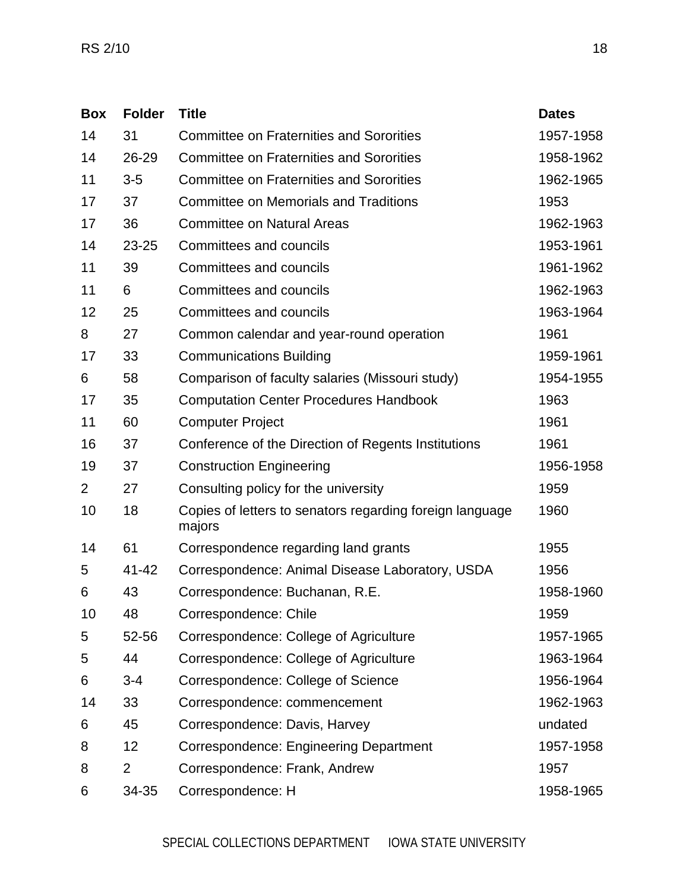| <b>Box</b>     | <b>Folder</b>  | <b>Title</b>                                                       | <b>Dates</b> |
|----------------|----------------|--------------------------------------------------------------------|--------------|
| 14             | 31             | <b>Committee on Fraternities and Sororities</b>                    | 1957-1958    |
| 14             | 26-29          | <b>Committee on Fraternities and Sororities</b>                    | 1958-1962    |
| 11             | $3-5$          | <b>Committee on Fraternities and Sororities</b>                    | 1962-1965    |
| 17             | 37             | <b>Committee on Memorials and Traditions</b>                       | 1953         |
| 17             | 36             | <b>Committee on Natural Areas</b>                                  | 1962-1963    |
| 14             | 23-25          | <b>Committees and councils</b>                                     | 1953-1961    |
| 11             | 39             | <b>Committees and councils</b>                                     | 1961-1962    |
| 11             | 6              | <b>Committees and councils</b>                                     | 1962-1963    |
| 12             | 25             | Committees and councils                                            | 1963-1964    |
| 8              | 27             | Common calendar and year-round operation                           | 1961         |
| 17             | 33             | <b>Communications Building</b>                                     | 1959-1961    |
| 6              | 58             | Comparison of faculty salaries (Missouri study)                    | 1954-1955    |
| 17             | 35             | <b>Computation Center Procedures Handbook</b>                      | 1963         |
| 11             | 60             | <b>Computer Project</b>                                            | 1961         |
| 16             | 37             | Conference of the Direction of Regents Institutions                | 1961         |
| 19             | 37             | <b>Construction Engineering</b>                                    | 1956-1958    |
| $\overline{2}$ | 27             | Consulting policy for the university                               | 1959         |
| 10             | 18             | Copies of letters to senators regarding foreign language<br>majors | 1960         |
| 14             | 61             | Correspondence regarding land grants                               | 1955         |
| 5              | 41-42          | Correspondence: Animal Disease Laboratory, USDA                    | 1956         |
| 6              | 43             | Correspondence: Buchanan, R.E.                                     | 1958-1960    |
| 10             | 48             | Correspondence: Chile                                              | 1959         |
| 5              | 52-56          | Correspondence: College of Agriculture                             | 1957-1965    |
| 5              | 44             | Correspondence: College of Agriculture                             | 1963-1964    |
| 6              | $3 - 4$        | Correspondence: College of Science                                 | 1956-1964    |
| 14             | 33             | Correspondence: commencement                                       | 1962-1963    |
| 6              | 45             | Correspondence: Davis, Harvey                                      | undated      |
| 8              | 12             | Correspondence: Engineering Department                             | 1957-1958    |
| 8              | $\overline{2}$ | Correspondence: Frank, Andrew                                      | 1957         |
| 6              | 34-35          | Correspondence: H                                                  | 1958-1965    |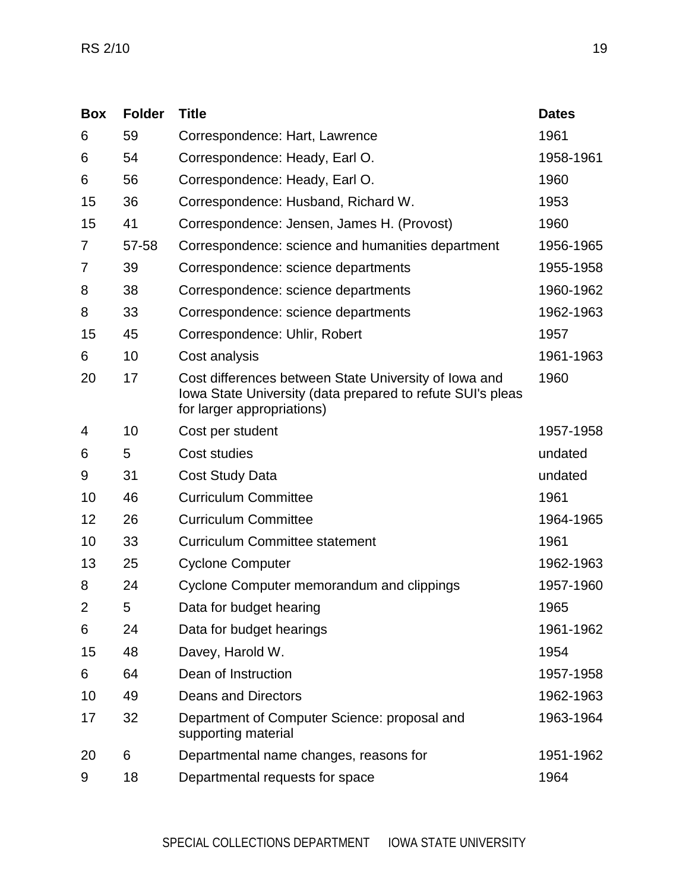| <b>Box</b>     | <b>Folder</b> | <b>Title</b>                                                                                                                                      | <b>Dates</b> |
|----------------|---------------|---------------------------------------------------------------------------------------------------------------------------------------------------|--------------|
| 6              | 59            | Correspondence: Hart, Lawrence                                                                                                                    | 1961         |
| 6              | 54            | Correspondence: Heady, Earl O.                                                                                                                    | 1958-1961    |
| 6              | 56            | Correspondence: Heady, Earl O.                                                                                                                    | 1960         |
| 15             | 36            | Correspondence: Husband, Richard W.                                                                                                               | 1953         |
| 15             | 41            | Correspondence: Jensen, James H. (Provost)                                                                                                        | 1960         |
| 7              | 57-58         | Correspondence: science and humanities department                                                                                                 | 1956-1965    |
| 7              | 39            | Correspondence: science departments                                                                                                               | 1955-1958    |
| 8              | 38            | Correspondence: science departments                                                                                                               | 1960-1962    |
| 8              | 33            | Correspondence: science departments                                                                                                               | 1962-1963    |
| 15             | 45            | Correspondence: Uhlir, Robert                                                                                                                     | 1957         |
| 6              | 10            | Cost analysis                                                                                                                                     | 1961-1963    |
| 20             | 17            | Cost differences between State University of Iowa and<br>lowa State University (data prepared to refute SUI's pleas<br>for larger appropriations) | 1960         |
| 4              | 10            | Cost per student                                                                                                                                  | 1957-1958    |
| 6              | 5             | Cost studies                                                                                                                                      | undated      |
| 9              | 31            | <b>Cost Study Data</b>                                                                                                                            | undated      |
| 10             | 46            | <b>Curriculum Committee</b>                                                                                                                       | 1961         |
| 12             | 26            | <b>Curriculum Committee</b>                                                                                                                       | 1964-1965    |
| 10             | 33            | <b>Curriculum Committee statement</b>                                                                                                             | 1961         |
| 13             | 25            | <b>Cyclone Computer</b>                                                                                                                           | 1962-1963    |
| 8              | 24            | Cyclone Computer memorandum and clippings                                                                                                         | 1957-1960    |
| $\overline{2}$ | 5             | Data for budget hearing                                                                                                                           | 1965         |
| 6              | 24            | Data for budget hearings                                                                                                                          | 1961-1962    |
| 15             | 48            | Davey, Harold W.                                                                                                                                  | 1954         |
| 6              | 64            | Dean of Instruction                                                                                                                               | 1957-1958    |
| 10             | 49            | <b>Deans and Directors</b>                                                                                                                        | 1962-1963    |
| 17             | 32            | Department of Computer Science: proposal and<br>supporting material                                                                               | 1963-1964    |
| 20             | 6             | Departmental name changes, reasons for                                                                                                            | 1951-1962    |
| 9              | 18            | Departmental requests for space                                                                                                                   | 1964         |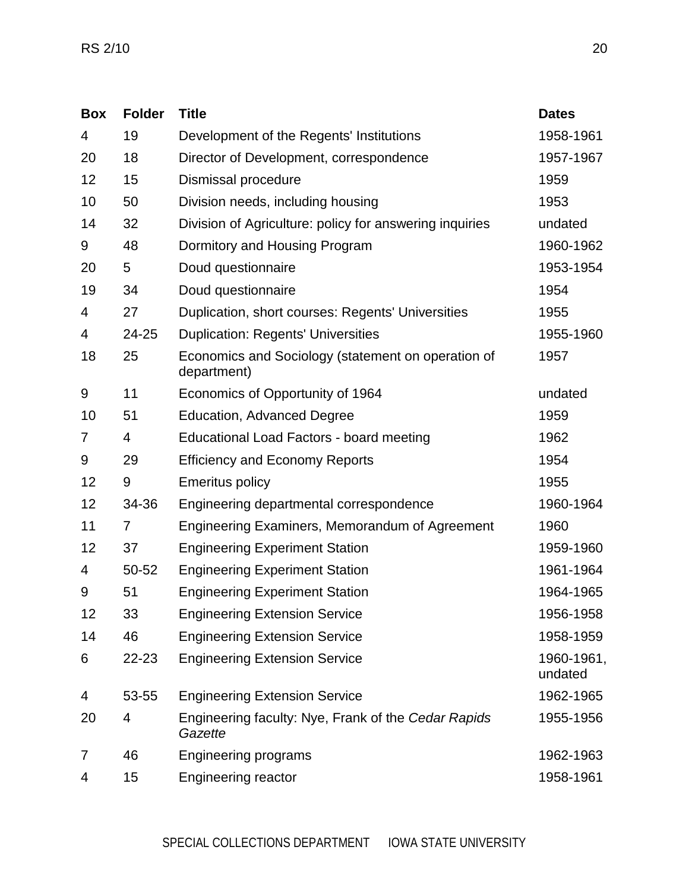| <b>Box</b> | <b>Folder</b>  | <b>Title</b>                                                      | <b>Dates</b>          |
|------------|----------------|-------------------------------------------------------------------|-----------------------|
| 4          | 19             | Development of the Regents' Institutions                          | 1958-1961             |
| 20         | 18             | Director of Development, correspondence                           | 1957-1967             |
| 12         | 15             | Dismissal procedure                                               | 1959                  |
| 10         | 50             | Division needs, including housing                                 | 1953                  |
| 14         | 32             | Division of Agriculture: policy for answering inquiries           | undated               |
| 9          | 48             | Dormitory and Housing Program                                     | 1960-1962             |
| 20         | 5              | Doud questionnaire                                                | 1953-1954             |
| 19         | 34             | Doud questionnaire                                                | 1954                  |
| 4          | 27             | Duplication, short courses: Regents' Universities                 | 1955                  |
| 4          | 24-25          | <b>Duplication: Regents' Universities</b>                         | 1955-1960             |
| 18         | 25             | Economics and Sociology (statement on operation of<br>department) | 1957                  |
| 9          | 11             | Economics of Opportunity of 1964                                  | undated               |
| 10         | 51             | <b>Education, Advanced Degree</b>                                 | 1959                  |
| 7          | 4              | <b>Educational Load Factors - board meeting</b>                   | 1962                  |
| 9          | 29             | <b>Efficiency and Economy Reports</b>                             | 1954                  |
| 12         | 9              | <b>Emeritus policy</b>                                            | 1955                  |
| 12         | 34-36          | Engineering departmental correspondence                           | 1960-1964             |
| 11         | $\overline{7}$ | Engineering Examiners, Memorandum of Agreement                    | 1960                  |
| 12         | 37             | <b>Engineering Experiment Station</b>                             | 1959-1960             |
| 4          | 50-52          | <b>Engineering Experiment Station</b>                             | 1961-1964             |
| 9          | 51             | <b>Engineering Experiment Station</b>                             | 1964-1965             |
| 12         | 33             | <b>Engineering Extension Service</b>                              | 1956-1958             |
| 14         | 46             | <b>Engineering Extension Service</b>                              | 1958-1959             |
| 6          | 22-23          | <b>Engineering Extension Service</b>                              | 1960-1961,<br>undated |
| 4          | 53-55          | <b>Engineering Extension Service</b>                              | 1962-1965             |
| 20         | 4              | Engineering faculty: Nye, Frank of the Cedar Rapids<br>Gazette    | 1955-1956             |
| 7          | 46             | <b>Engineering programs</b>                                       | 1962-1963             |
| 4          | 15             | <b>Engineering reactor</b>                                        | 1958-1961             |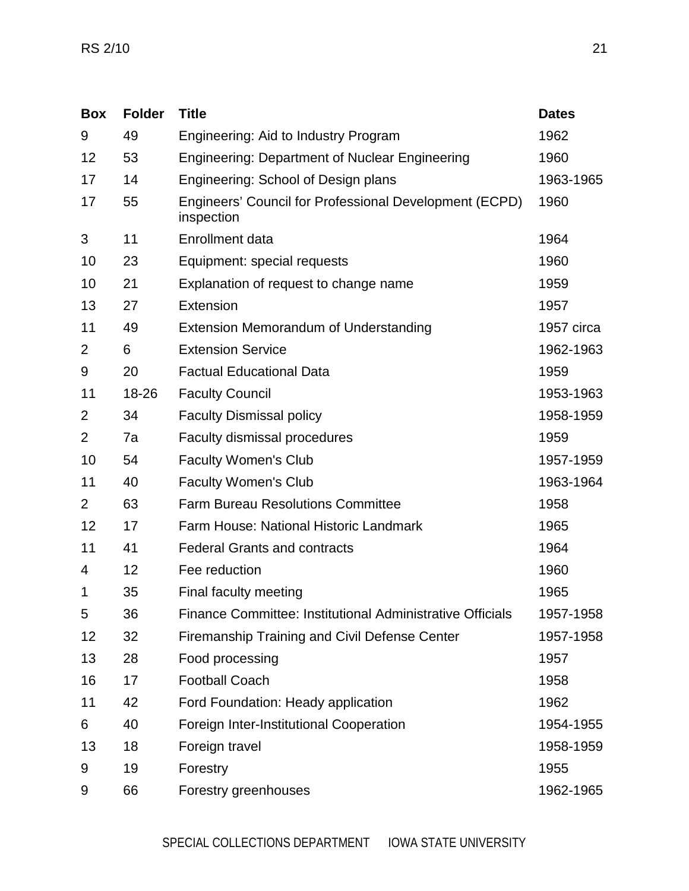| <b>Box</b>     | <b>Folder</b> | <b>Title</b>                                                         | <b>Dates</b> |
|----------------|---------------|----------------------------------------------------------------------|--------------|
| 9              | 49            | Engineering: Aid to Industry Program                                 | 1962         |
| 12             | 53            | <b>Engineering: Department of Nuclear Engineering</b>                | 1960         |
| 17             | 14            | Engineering: School of Design plans                                  | 1963-1965    |
| 17             | 55            | Engineers' Council for Professional Development (ECPD)<br>inspection | 1960         |
| 3              | 11            | Enrollment data                                                      | 1964         |
| 10             | 23            | Equipment: special requests                                          | 1960         |
| 10             | 21            | Explanation of request to change name                                | 1959         |
| 13             | 27            | <b>Extension</b>                                                     | 1957         |
| 11             | 49            | Extension Memorandum of Understanding                                | 1957 circa   |
| $\overline{2}$ | 6             | <b>Extension Service</b>                                             | 1962-1963    |
| 9              | 20            | <b>Factual Educational Data</b>                                      | 1959         |
| 11             | 18-26         | <b>Faculty Council</b>                                               | 1953-1963    |
| $\overline{2}$ | 34            | <b>Faculty Dismissal policy</b>                                      | 1958-1959    |
| $\overline{2}$ | 7a            | Faculty dismissal procedures                                         | 1959         |
| 10             | 54            | <b>Faculty Women's Club</b>                                          | 1957-1959    |
| 11             | 40            | <b>Faculty Women's Club</b>                                          | 1963-1964    |
| $\overline{2}$ | 63            | <b>Farm Bureau Resolutions Committee</b>                             | 1958         |
| 12             | 17            | Farm House: National Historic Landmark                               | 1965         |
| 11             | 41            | <b>Federal Grants and contracts</b>                                  | 1964         |
| 4              | 12            | Fee reduction                                                        | 1960         |
| 1              | 35            | Final faculty meeting                                                | 1965         |
| 5              | 36            | Finance Committee: Institutional Administrative Officials            | 1957-1958    |
| 12             | 32            | <b>Firemanship Training and Civil Defense Center</b>                 | 1957-1958    |
| 13             | 28            | Food processing                                                      | 1957         |
| 16             | 17            | <b>Football Coach</b>                                                | 1958         |
| 11             | 42            | Ford Foundation: Heady application                                   | 1962         |
| 6              | 40            | Foreign Inter-Institutional Cooperation                              | 1954-1955    |
| 13             | 18            | Foreign travel                                                       | 1958-1959    |
| 9              | 19            | Forestry                                                             | 1955         |
| 9              | 66            | Forestry greenhouses                                                 | 1962-1965    |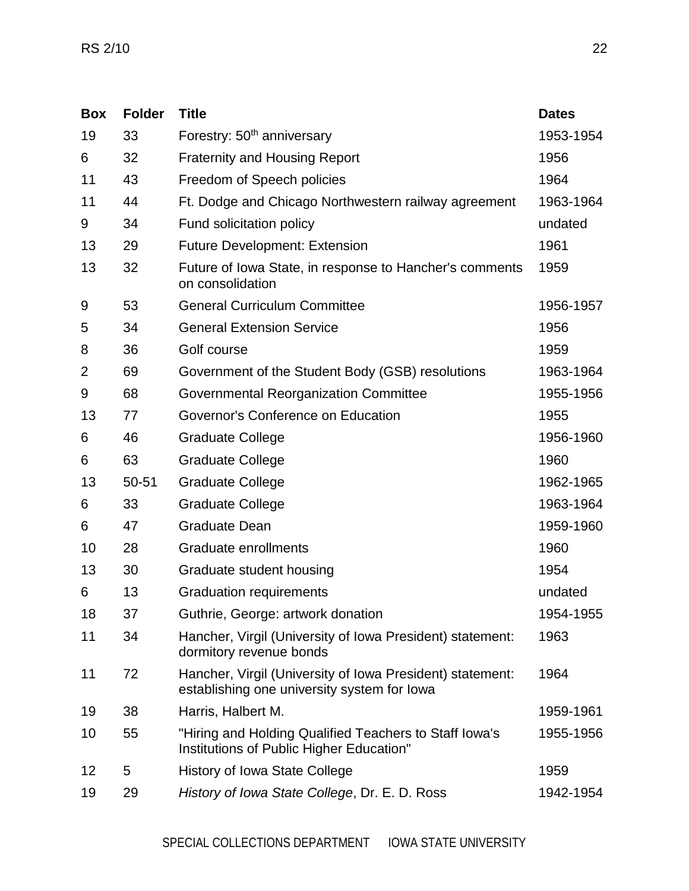| <b>Box</b>     | <b>Folder</b> | <b>Title</b>                                                                                             | <b>Dates</b> |
|----------------|---------------|----------------------------------------------------------------------------------------------------------|--------------|
| 19             | 33            | Forestry: 50 <sup>th</sup> anniversary                                                                   | 1953-1954    |
| 6              | 32            | <b>Fraternity and Housing Report</b>                                                                     | 1956         |
| 11             | 43            | Freedom of Speech policies                                                                               | 1964         |
| 11             | 44            | Ft. Dodge and Chicago Northwestern railway agreement                                                     | 1963-1964    |
| 9              | 34            | Fund solicitation policy                                                                                 | undated      |
| 13             | 29            | <b>Future Development: Extension</b>                                                                     | 1961         |
| 13             | 32            | Future of Iowa State, in response to Hancher's comments<br>on consolidation                              | 1959         |
| 9              | 53            | <b>General Curriculum Committee</b>                                                                      | 1956-1957    |
| 5              | 34            | <b>General Extension Service</b>                                                                         | 1956         |
| 8              | 36            | Golf course                                                                                              | 1959         |
| $\overline{2}$ | 69            | Government of the Student Body (GSB) resolutions                                                         | 1963-1964    |
| 9              | 68            | Governmental Reorganization Committee                                                                    | 1955-1956    |
| 13             | 77            | Governor's Conference on Education                                                                       | 1955         |
| 6              | 46            | <b>Graduate College</b>                                                                                  | 1956-1960    |
| 6              | 63            | <b>Graduate College</b>                                                                                  | 1960         |
| 13             | 50-51         | <b>Graduate College</b>                                                                                  | 1962-1965    |
| 6              | 33            | <b>Graduate College</b>                                                                                  | 1963-1964    |
| 6              | 47            | <b>Graduate Dean</b>                                                                                     | 1959-1960    |
| 10             | 28            | <b>Graduate enrollments</b>                                                                              | 1960         |
| 13             | 30            | Graduate student housing                                                                                 | 1954         |
| 6              | 13            | <b>Graduation requirements</b>                                                                           | undated      |
| 18             | 37            | Guthrie, George: artwork donation                                                                        | 1954-1955    |
| 11             | 34            | Hancher, Virgil (University of Iowa President) statement:<br>dormitory revenue bonds                     | 1963         |
| 11             | 72            | Hancher, Virgil (University of Iowa President) statement:<br>establishing one university system for lowa | 1964         |
| 19             | 38            | Harris, Halbert M.                                                                                       | 1959-1961    |
| 10             | 55            | "Hiring and Holding Qualified Teachers to Staff Iowa's<br>Institutions of Public Higher Education"       | 1955-1956    |
| 12             | 5             | <b>History of Iowa State College</b>                                                                     | 1959         |
| 19             | 29            | History of Iowa State College, Dr. E. D. Ross                                                            | 1942-1954    |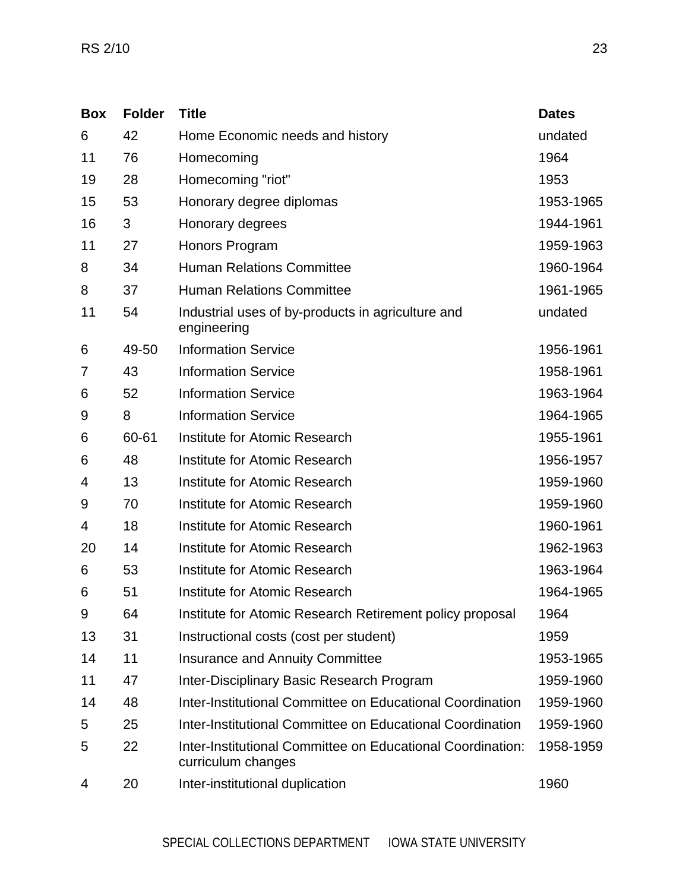| <b>Box</b> | <b>Folder</b> | <b>Title</b>                                                                     | <b>Dates</b> |
|------------|---------------|----------------------------------------------------------------------------------|--------------|
| 6          | 42            | Home Economic needs and history                                                  | undated      |
| 11         | 76            | Homecoming                                                                       | 1964         |
| 19         | 28            | Homecoming "riot"                                                                | 1953         |
| 15         | 53            | Honorary degree diplomas                                                         | 1953-1965    |
| 16         | 3             | Honorary degrees                                                                 | 1944-1961    |
| 11         | 27            | Honors Program                                                                   | 1959-1963    |
| 8          | 34            | <b>Human Relations Committee</b>                                                 | 1960-1964    |
| 8          | 37            | <b>Human Relations Committee</b>                                                 | 1961-1965    |
| 11         | 54            | Industrial uses of by-products in agriculture and<br>engineering                 | undated      |
| 6          | 49-50         | <b>Information Service</b>                                                       | 1956-1961    |
| 7          | 43            | <b>Information Service</b>                                                       | 1958-1961    |
| 6          | 52            | <b>Information Service</b>                                                       | 1963-1964    |
| 9          | 8             | <b>Information Service</b>                                                       | 1964-1965    |
| 6          | 60-61         | <b>Institute for Atomic Research</b>                                             | 1955-1961    |
| 6          | 48            | Institute for Atomic Research                                                    | 1956-1957    |
| 4          | 13            | Institute for Atomic Research                                                    | 1959-1960    |
| 9          | 70            | Institute for Atomic Research                                                    | 1959-1960    |
| 4          | 18            | Institute for Atomic Research                                                    | 1960-1961    |
| 20         | 14            | Institute for Atomic Research                                                    | 1962-1963    |
| 6          | 53            | Institute for Atomic Research                                                    | 1963-1964    |
| 6          | 51            | Institute for Atomic Research                                                    | 1964-1965    |
| 9          | 64            | Institute for Atomic Research Retirement policy proposal                         | 1964         |
| 13         | 31            | Instructional costs (cost per student)                                           | 1959         |
| 14         | 11            | <b>Insurance and Annuity Committee</b>                                           | 1953-1965    |
| 11         | 47            | Inter-Disciplinary Basic Research Program                                        | 1959-1960    |
| 14         | 48            | Inter-Institutional Committee on Educational Coordination                        | 1959-1960    |
| 5          | 25            | Inter-Institutional Committee on Educational Coordination                        | 1959-1960    |
| 5          | 22            | Inter-Institutional Committee on Educational Coordination:<br>curriculum changes | 1958-1959    |
| 4          | 20            | Inter-institutional duplication                                                  | 1960         |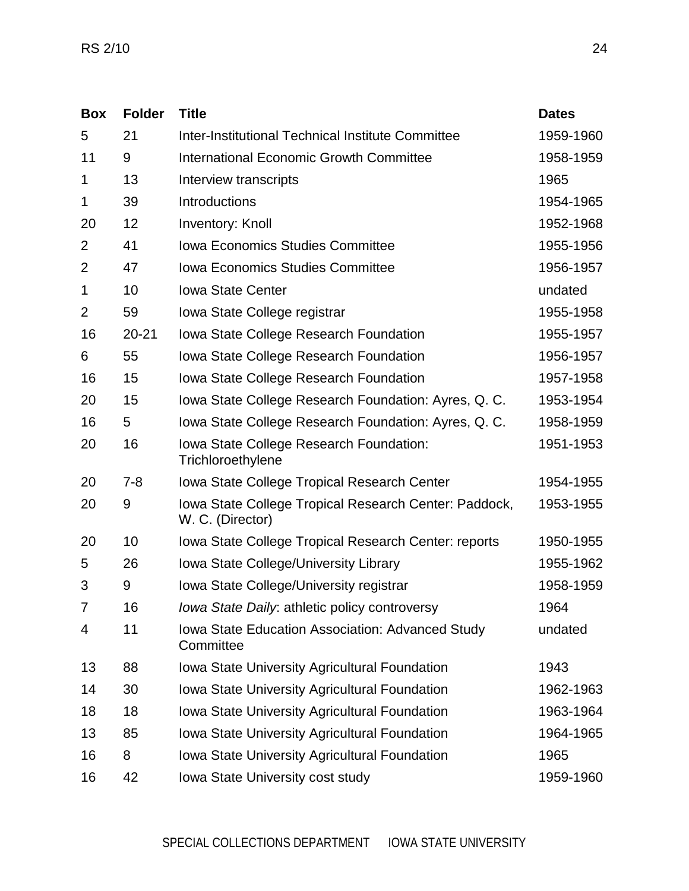| <b>Box</b>     | <b>Folder</b> | <b>Title</b>                                                              | <b>Dates</b> |
|----------------|---------------|---------------------------------------------------------------------------|--------------|
| 5              | 21            | Inter-Institutional Technical Institute Committee                         | 1959-1960    |
| 11             | 9             | <b>International Economic Growth Committee</b>                            | 1958-1959    |
| 1              | 13            | Interview transcripts                                                     | 1965         |
| 1              | 39            | Introductions                                                             | 1954-1965    |
| 20             | 12            | <b>Inventory: Knoll</b>                                                   | 1952-1968    |
| $\overline{2}$ | 41            | <b>Iowa Economics Studies Committee</b>                                   | 1955-1956    |
| $\overline{2}$ | 47            | <b>Iowa Economics Studies Committee</b>                                   | 1956-1957    |
| 1              | 10            | <b>Iowa State Center</b>                                                  | undated      |
| $\overline{2}$ | 59            | Iowa State College registrar                                              | 1955-1958    |
| 16             | $20 - 21$     | Iowa State College Research Foundation                                    | 1955-1957    |
| 6              | 55            | Iowa State College Research Foundation                                    | 1956-1957    |
| 16             | 15            | Iowa State College Research Foundation                                    | 1957-1958    |
| 20             | 15            | Iowa State College Research Foundation: Ayres, Q. C.                      | 1953-1954    |
| 16             | 5             | Iowa State College Research Foundation: Ayres, Q. C.                      | 1958-1959    |
| 20             | 16            | Iowa State College Research Foundation:<br>Trichloroethylene              | 1951-1953    |
| 20             | $7 - 8$       | <b>Iowa State College Tropical Research Center</b>                        | 1954-1955    |
| 20             | 9             | Iowa State College Tropical Research Center: Paddock,<br>W. C. (Director) | 1953-1955    |
| 20             | 10            | Iowa State College Tropical Research Center: reports                      | 1950-1955    |
| 5              | 26            | Iowa State College/University Library                                     | 1955-1962    |
| 3              | 9             | Iowa State College/University registrar                                   | 1958-1959    |
| $\overline{7}$ | 16            | Iowa State Daily: athletic policy controversy                             | 1964         |
| 4              | 11            | Iowa State Education Association: Advanced Study<br>Committee             | undated      |
| 13             | 88            | <b>Iowa State University Agricultural Foundation</b>                      | 1943         |
| 14             | 30            | <b>Iowa State University Agricultural Foundation</b>                      | 1962-1963    |
| 18             | 18            | <b>Iowa State University Agricultural Foundation</b>                      | 1963-1964    |
| 13             | 85            | <b>Iowa State University Agricultural Foundation</b>                      | 1964-1965    |
| 16             | 8             | Iowa State University Agricultural Foundation                             | 1965         |
| 16             | 42            | Iowa State University cost study                                          | 1959-1960    |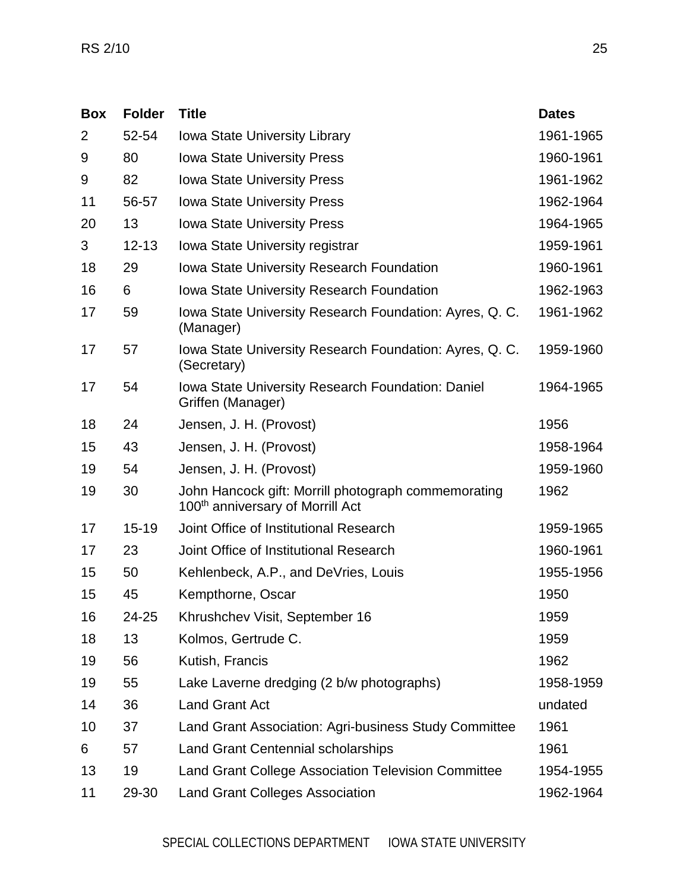| <b>Box</b>     | <b>Folder</b> | <b>Title</b>                                                                                        | <b>Dates</b> |
|----------------|---------------|-----------------------------------------------------------------------------------------------------|--------------|
| $\overline{2}$ | 52-54         | <b>Iowa State University Library</b>                                                                | 1961-1965    |
| 9              | 80            | <b>Iowa State University Press</b>                                                                  | 1960-1961    |
| 9              | 82            | <b>Iowa State University Press</b>                                                                  | 1961-1962    |
| 11             | 56-57         | <b>Iowa State University Press</b>                                                                  | 1962-1964    |
| 20             | 13            | <b>Iowa State University Press</b>                                                                  | 1964-1965    |
| 3              | $12 - 13$     | Iowa State University registrar                                                                     | 1959-1961    |
| 18             | 29            | Iowa State University Research Foundation                                                           | 1960-1961    |
| 16             | 6             | <b>Iowa State University Research Foundation</b>                                                    | 1962-1963    |
| 17             | 59            | Iowa State University Research Foundation: Ayres, Q. C.<br>(Manager)                                | 1961-1962    |
| 17             | 57            | Iowa State University Research Foundation: Ayres, Q. C.<br>(Secretary)                              | 1959-1960    |
| 17             | 54            | Iowa State University Research Foundation: Daniel<br>Griffen (Manager)                              | 1964-1965    |
| 18             | 24            | Jensen, J. H. (Provost)                                                                             | 1956         |
| 15             | 43            | Jensen, J. H. (Provost)                                                                             | 1958-1964    |
| 19             | 54            | Jensen, J. H. (Provost)                                                                             | 1959-1960    |
| 19             | 30            | John Hancock gift: Morrill photograph commemorating<br>100 <sup>th</sup> anniversary of Morrill Act | 1962         |
| 17             | 15-19         | Joint Office of Institutional Research                                                              | 1959-1965    |
| 17             | 23            | Joint Office of Institutional Research                                                              | 1960-1961    |
| 15             | 50            | Kehlenbeck, A.P., and DeVries, Louis                                                                | 1955-1956    |
| 15             | 45            | Kempthorne, Oscar                                                                                   | 1950         |
| 16             | 24-25         | Khrushchev Visit, September 16                                                                      | 1959         |
| 18             | 13            | Kolmos, Gertrude C.                                                                                 | 1959         |
| 19             | 56            | Kutish, Francis                                                                                     | 1962         |
| 19             | 55            | Lake Laverne dredging (2 b/w photographs)                                                           | 1958-1959    |
| 14             | 36            | <b>Land Grant Act</b>                                                                               | undated      |
| 10             | 37            | Land Grant Association: Agri-business Study Committee                                               | 1961         |
| 6              | 57            | <b>Land Grant Centennial scholarships</b>                                                           | 1961         |
| 13             | 19            | <b>Land Grant College Association Television Committee</b>                                          | 1954-1955    |
| 11             | 29-30         | <b>Land Grant Colleges Association</b>                                                              | 1962-1964    |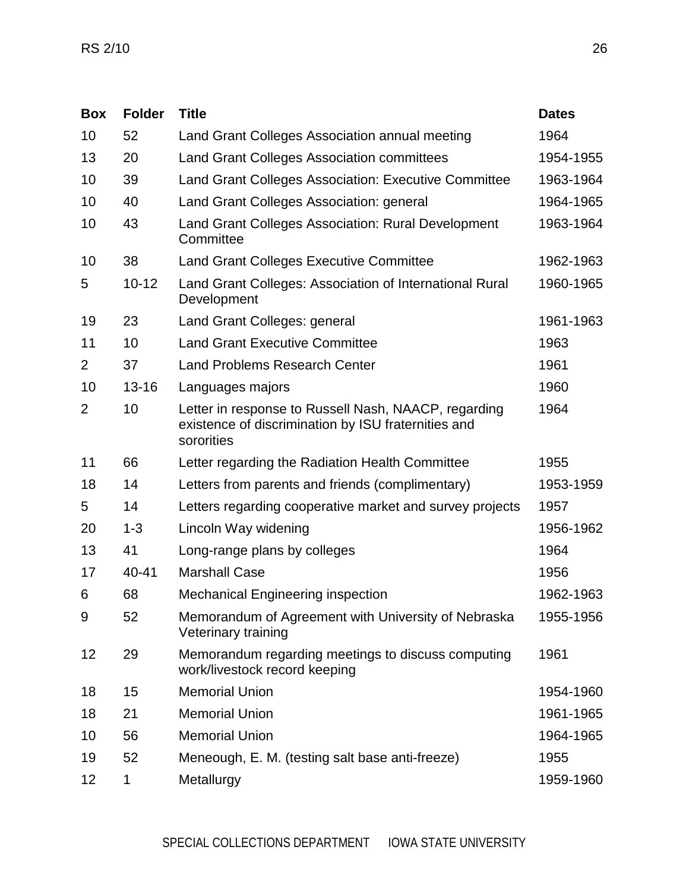| <b>Box</b>     | <b>Folder</b> | <b>Title</b>                                                                                                              | <b>Dates</b> |
|----------------|---------------|---------------------------------------------------------------------------------------------------------------------------|--------------|
| 10             | 52            | Land Grant Colleges Association annual meeting                                                                            | 1964         |
| 13             | 20            | <b>Land Grant Colleges Association committees</b>                                                                         | 1954-1955    |
| 10             | 39            | <b>Land Grant Colleges Association: Executive Committee</b>                                                               | 1963-1964    |
| 10             | 40            | Land Grant Colleges Association: general                                                                                  | 1964-1965    |
| 10             | 43            | Land Grant Colleges Association: Rural Development<br>Committee                                                           | 1963-1964    |
| 10             | 38            | <b>Land Grant Colleges Executive Committee</b>                                                                            | 1962-1963    |
| 5              | $10 - 12$     | Land Grant Colleges: Association of International Rural<br>Development                                                    | 1960-1965    |
| 19             | 23            | Land Grant Colleges: general                                                                                              | 1961-1963    |
| 11             | 10            | <b>Land Grant Executive Committee</b>                                                                                     | 1963         |
| $\overline{2}$ | 37            | <b>Land Problems Research Center</b>                                                                                      | 1961         |
| 10             | $13 - 16$     | Languages majors                                                                                                          | 1960         |
| $\overline{2}$ | 10            | Letter in response to Russell Nash, NAACP, regarding<br>existence of discrimination by ISU fraternities and<br>sororities | 1964         |
| 11             | 66            | Letter regarding the Radiation Health Committee                                                                           | 1955         |
| 18             | 14            | Letters from parents and friends (complimentary)                                                                          | 1953-1959    |
| 5              | 14            | Letters regarding cooperative market and survey projects                                                                  | 1957         |
| 20             | $1 - 3$       | Lincoln Way widening                                                                                                      | 1956-1962    |
| 13             | 41            | Long-range plans by colleges                                                                                              | 1964         |
| 17             | 40-41         | <b>Marshall Case</b>                                                                                                      | 1956         |
| 6              | 68            | <b>Mechanical Engineering inspection</b>                                                                                  | 1962-1963    |
| 9              | 52            | Memorandum of Agreement with University of Nebraska<br>Veterinary training                                                | 1955-1956    |
| 12             | 29            | Memorandum regarding meetings to discuss computing<br>work/livestock record keeping                                       | 1961         |
| 18             | 15            | <b>Memorial Union</b>                                                                                                     | 1954-1960    |
| 18             | 21            | <b>Memorial Union</b>                                                                                                     | 1961-1965    |
| 10             | 56            | <b>Memorial Union</b>                                                                                                     | 1964-1965    |
| 19             | 52            | Meneough, E. M. (testing salt base anti-freeze)                                                                           | 1955         |
| 12             | 1             | Metallurgy                                                                                                                | 1959-1960    |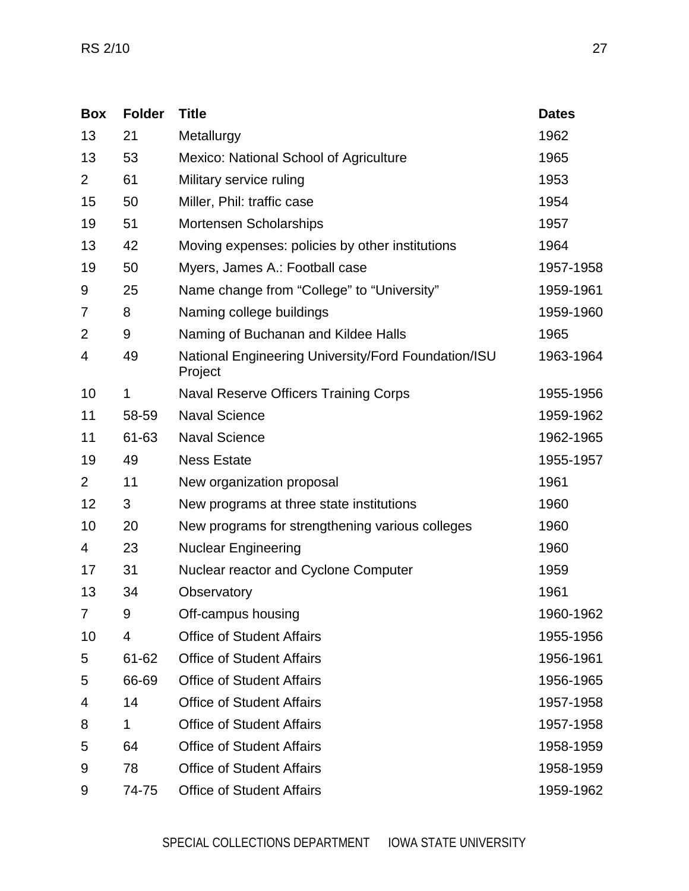| <b>Box</b>     | <b>Folder</b> | <b>Title</b>                                                   | <b>Dates</b> |
|----------------|---------------|----------------------------------------------------------------|--------------|
| 13             | 21            | Metallurgy                                                     | 1962         |
| 13             | 53            | Mexico: National School of Agriculture                         | 1965         |
| $\overline{2}$ | 61            | Military service ruling                                        | 1953         |
| 15             | 50            | Miller, Phil: traffic case                                     | 1954         |
| 19             | 51            | Mortensen Scholarships                                         | 1957         |
| 13             | 42            | Moving expenses: policies by other institutions                | 1964         |
| 19             | 50            | Myers, James A.: Football case                                 | 1957-1958    |
| 9              | 25            | Name change from "College" to "University"                     | 1959-1961    |
| 7              | 8             | Naming college buildings                                       | 1959-1960    |
| 2              | 9             | Naming of Buchanan and Kildee Halls                            | 1965         |
| 4              | 49            | National Engineering University/Ford Foundation/ISU<br>Project | 1963-1964    |
| 10             | 1             | Naval Reserve Officers Training Corps                          | 1955-1956    |
| 11             | 58-59         | <b>Naval Science</b>                                           | 1959-1962    |
| 11             | 61-63         | <b>Naval Science</b>                                           | 1962-1965    |
| 19             | 49            | <b>Ness Estate</b>                                             | 1955-1957    |
| $\overline{2}$ | 11            | New organization proposal                                      | 1961         |
| 12             | 3             | New programs at three state institutions                       | 1960         |
| 10             | 20            | New programs for strengthening various colleges                | 1960         |
| 4              | 23            | <b>Nuclear Engineering</b>                                     | 1960         |
| 17             | 31            | Nuclear reactor and Cyclone Computer                           | 1959         |
| 13             | 34            | Observatory                                                    | 1961         |
| 7              | 9             | Off-campus housing                                             | 1960-1962    |
| 10             | 4             | <b>Office of Student Affairs</b>                               | 1955-1956    |
| 5              | 61-62         | <b>Office of Student Affairs</b>                               | 1956-1961    |
| 5              | 66-69         | <b>Office of Student Affairs</b>                               | 1956-1965    |
| 4              | 14            | <b>Office of Student Affairs</b>                               | 1957-1958    |
| 8              | 1             | <b>Office of Student Affairs</b>                               | 1957-1958    |
| 5              | 64            | <b>Office of Student Affairs</b>                               | 1958-1959    |
| 9              | 78            | <b>Office of Student Affairs</b>                               | 1958-1959    |
| 9              | 74-75         | <b>Office of Student Affairs</b>                               | 1959-1962    |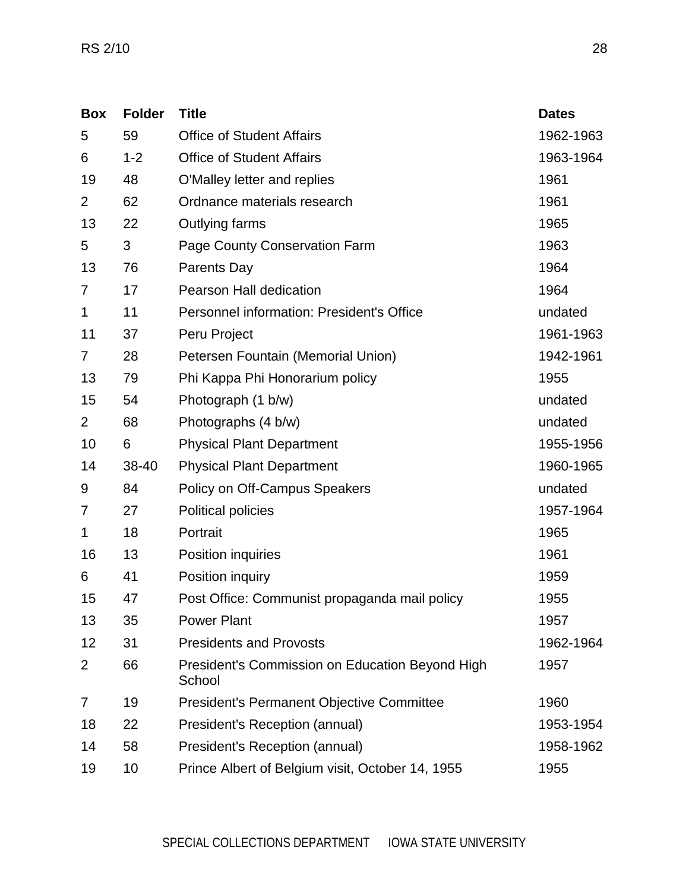| <b>Box</b>     | <b>Folder</b> | <b>Title</b>                                              | <b>Dates</b> |
|----------------|---------------|-----------------------------------------------------------|--------------|
| 5              | 59            | <b>Office of Student Affairs</b>                          | 1962-1963    |
| 6              | $1 - 2$       | <b>Office of Student Affairs</b>                          | 1963-1964    |
| 19             | 48            | O'Malley letter and replies                               | 1961         |
| $\overline{2}$ | 62            | Ordnance materials research                               | 1961         |
| 13             | 22            | Outlying farms                                            | 1965         |
| 5              | 3             | Page County Conservation Farm                             | 1963         |
| 13             | 76            | <b>Parents Day</b>                                        | 1964         |
| 7              | 17            | <b>Pearson Hall dedication</b>                            | 1964         |
| 1              | 11            | <b>Personnel information: President's Office</b>          | undated      |
| 11             | 37            | Peru Project                                              | 1961-1963    |
| 7              | 28            | Petersen Fountain (Memorial Union)                        | 1942-1961    |
| 13             | 79            | Phi Kappa Phi Honorarium policy                           | 1955         |
| 15             | 54            | Photograph (1 b/w)                                        | undated      |
| $\overline{2}$ | 68            | Photographs (4 b/w)                                       | undated      |
| 10             | 6             | <b>Physical Plant Department</b>                          | 1955-1956    |
| 14             | 38-40         | <b>Physical Plant Department</b>                          | 1960-1965    |
| 9              | 84            | Policy on Off-Campus Speakers                             | undated      |
| 7              | 27            | <b>Political policies</b>                                 | 1957-1964    |
| 1              | 18            | Portrait                                                  | 1965         |
| 16             | 13            | Position inquiries                                        | 1961         |
| 6              | 41            | Position inquiry                                          | 1959         |
| 15             | 47            | Post Office: Communist propaganda mail policy             | 1955         |
| 13             | 35            | <b>Power Plant</b>                                        | 1957         |
| 12             | 31            | <b>Presidents and Provosts</b>                            | 1962-1964    |
| $\overline{2}$ | 66            | President's Commission on Education Beyond High<br>School | 1957         |
| 7              | 19            | <b>President's Permanent Objective Committee</b>          | 1960         |
| 18             | 22            | President's Reception (annual)                            | 1953-1954    |
| 14             | 58            | President's Reception (annual)                            | 1958-1962    |
| 19             | 10            | Prince Albert of Belgium visit, October 14, 1955          | 1955         |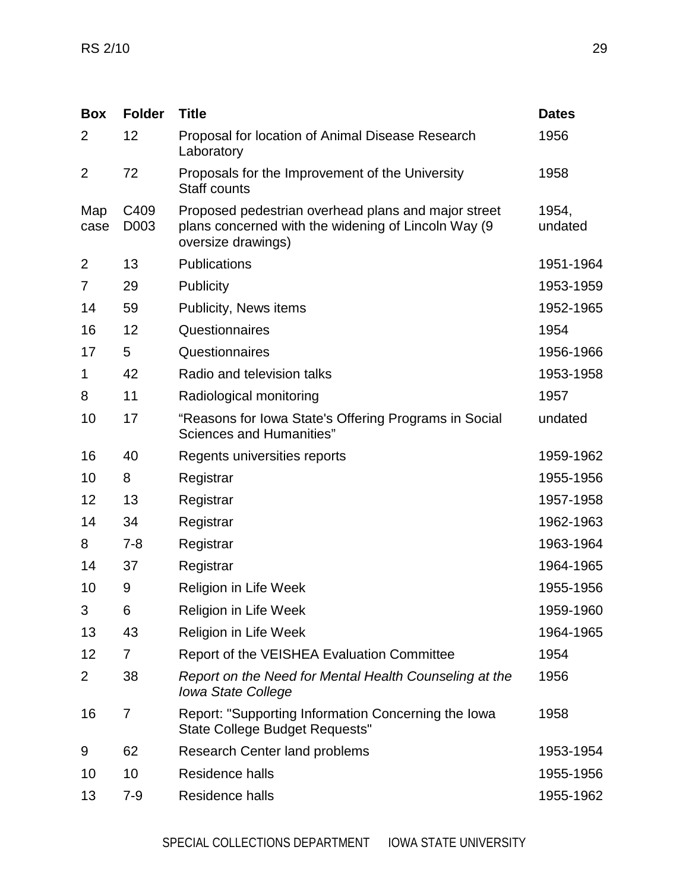| <b>Box</b>     | <b>Folder</b>  | <b>Title</b>                                                                                                                      | <b>Dates</b>     |
|----------------|----------------|-----------------------------------------------------------------------------------------------------------------------------------|------------------|
| $\overline{2}$ | 12             | Proposal for location of Animal Disease Research<br>Laboratory                                                                    | 1956             |
| $\overline{2}$ | 72             | Proposals for the Improvement of the University<br><b>Staff counts</b>                                                            | 1958             |
| Map<br>case    | C409<br>D003   | Proposed pedestrian overhead plans and major street<br>plans concerned with the widening of Lincoln Way (9)<br>oversize drawings) | 1954,<br>undated |
| $\overline{2}$ | 13             | <b>Publications</b>                                                                                                               | 1951-1964        |
| 7              | 29             | Publicity                                                                                                                         | 1953-1959        |
| 14             | 59             | Publicity, News items                                                                                                             | 1952-1965        |
| 16             | 12             | Questionnaires                                                                                                                    | 1954             |
| 17             | 5              | Questionnaires                                                                                                                    | 1956-1966        |
| 1              | 42             | Radio and television talks                                                                                                        | 1953-1958        |
| 8              | 11             | Radiological monitoring                                                                                                           | 1957             |
| 10             | 17             | "Reasons for Iowa State's Offering Programs in Social<br><b>Sciences and Humanities"</b>                                          | undated          |
| 16             | 40             | Regents universities reports                                                                                                      | 1959-1962        |
| 10             | 8              | Registrar                                                                                                                         | 1955-1956        |
| 12             | 13             | Registrar                                                                                                                         | 1957-1958        |
| 14             | 34             | Registrar                                                                                                                         | 1962-1963        |
| 8              | $7 - 8$        | Registrar                                                                                                                         | 1963-1964        |
| 14             | 37             | Registrar                                                                                                                         | 1964-1965        |
| 10             | 9              | <b>Religion in Life Week</b>                                                                                                      | 1955-1956        |
| 3              | 6              | Religion in Life Week                                                                                                             | 1959-1960        |
| 13             | 43             | <b>Religion in Life Week</b>                                                                                                      | 1964-1965        |
| 12             | $\overline{7}$ | Report of the VEISHEA Evaluation Committee                                                                                        | 1954             |
| 2              | 38             | Report on the Need for Mental Health Counseling at the<br><b>Iowa State College</b>                                               | 1956             |
| 16             | $\overline{7}$ | Report: "Supporting Information Concerning the Iowa<br>State College Budget Requests"                                             | 1958             |
| 9              | 62             | <b>Research Center land problems</b>                                                                                              | 1953-1954        |
| 10             | 10             | Residence halls                                                                                                                   | 1955-1956        |
| 13             | $7 - 9$        | Residence halls                                                                                                                   | 1955-1962        |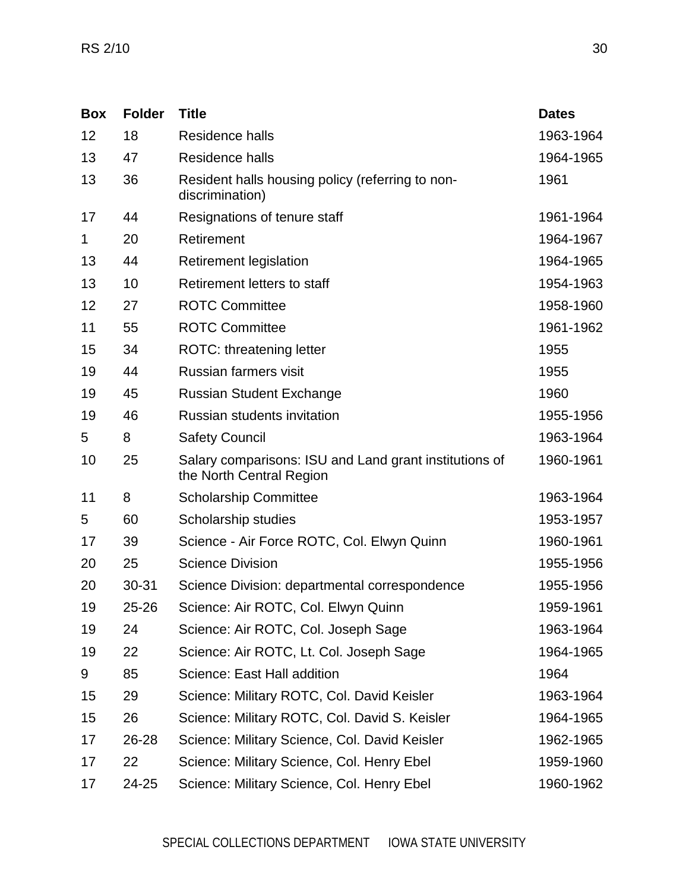| <b>Box</b> | <b>Folder</b> | <b>Title</b>                                                                       | <b>Dates</b> |
|------------|---------------|------------------------------------------------------------------------------------|--------------|
| 12         | 18            | Residence halls                                                                    | 1963-1964    |
| 13         | 47            | Residence halls                                                                    | 1964-1965    |
| 13         | 36            | Resident halls housing policy (referring to non-<br>discrimination)                | 1961         |
| 17         | 44            | Resignations of tenure staff                                                       | 1961-1964    |
| 1          | 20            | Retirement                                                                         | 1964-1967    |
| 13         | 44            | <b>Retirement legislation</b>                                                      | 1964-1965    |
| 13         | 10            | Retirement letters to staff                                                        | 1954-1963    |
| 12         | 27            | <b>ROTC Committee</b>                                                              | 1958-1960    |
| 11         | 55            | <b>ROTC Committee</b>                                                              | 1961-1962    |
| 15         | 34            | <b>ROTC: threatening letter</b>                                                    | 1955         |
| 19         | 44            | Russian farmers visit                                                              | 1955         |
| 19         | 45            | <b>Russian Student Exchange</b>                                                    | 1960         |
| 19         | 46            | <b>Russian students invitation</b>                                                 | 1955-1956    |
| 5          | 8             | <b>Safety Council</b>                                                              | 1963-1964    |
| 10         | 25            | Salary comparisons: ISU and Land grant institutions of<br>the North Central Region | 1960-1961    |
| 11         | 8             | <b>Scholarship Committee</b>                                                       | 1963-1964    |
| 5          | 60            | Scholarship studies                                                                | 1953-1957    |
| 17         | 39            | Science - Air Force ROTC, Col. Elwyn Quinn                                         | 1960-1961    |
| 20         | 25            | <b>Science Division</b>                                                            | 1955-1956    |
| 20         | 30-31         | Science Division: departmental correspondence                                      | 1955-1956    |
| 19         | 25-26         | Science: Air ROTC, Col. Elwyn Quinn                                                | 1959-1961    |
| 19         | 24            | Science: Air ROTC, Col. Joseph Sage                                                | 1963-1964    |
| 19         | 22            | Science: Air ROTC, Lt. Col. Joseph Sage                                            | 1964-1965    |
| 9          | 85            | Science: East Hall addition                                                        | 1964         |
| 15         | 29            | Science: Military ROTC, Col. David Keisler                                         | 1963-1964    |
| 15         | 26            | Science: Military ROTC, Col. David S. Keisler                                      | 1964-1965    |
| 17         | 26-28         | Science: Military Science, Col. David Keisler                                      | 1962-1965    |
| 17         | 22            | Science: Military Science, Col. Henry Ebel                                         | 1959-1960    |
| 17         | 24-25         | Science: Military Science, Col. Henry Ebel                                         | 1960-1962    |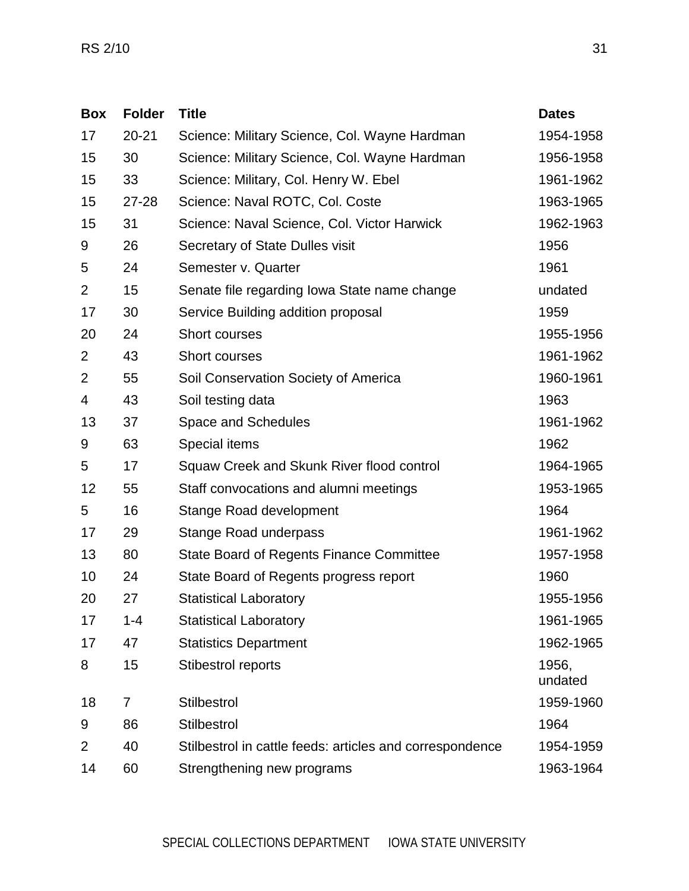| <b>Box</b>     | <b>Folder</b> | <b>Title</b>                                             | <b>Dates</b>     |
|----------------|---------------|----------------------------------------------------------|------------------|
| 17             | $20 - 21$     | Science: Military Science, Col. Wayne Hardman            | 1954-1958        |
| 15             | 30            | Science: Military Science, Col. Wayne Hardman            | 1956-1958        |
| 15             | 33            | Science: Military, Col. Henry W. Ebel                    | 1961-1962        |
| 15             | 27-28         | Science: Naval ROTC, Col. Coste                          | 1963-1965        |
| 15             | 31            | Science: Naval Science, Col. Victor Harwick              | 1962-1963        |
| 9              | 26            | Secretary of State Dulles visit                          | 1956             |
| 5              | 24            | Semester v. Quarter                                      | 1961             |
| $\overline{2}$ | 15            | Senate file regarding Iowa State name change             | undated          |
| 17             | 30            | Service Building addition proposal                       | 1959             |
| 20             | 24            | Short courses                                            | 1955-1956        |
| $\overline{2}$ | 43            | Short courses                                            | 1961-1962        |
| $\overline{2}$ | 55            | Soil Conservation Society of America                     | 1960-1961        |
| 4              | 43            | Soil testing data                                        | 1963             |
| 13             | 37            | Space and Schedules                                      | 1961-1962        |
| 9              | 63            | Special items                                            | 1962             |
| 5              | 17            | Squaw Creek and Skunk River flood control                | 1964-1965        |
| 12             | 55            | Staff convocations and alumni meetings                   | 1953-1965        |
| 5              | 16            | Stange Road development                                  | 1964             |
| 17             | 29            | <b>Stange Road underpass</b>                             | 1961-1962        |
| 13             | 80            | <b>State Board of Regents Finance Committee</b>          | 1957-1958        |
| 10             | 24            | State Board of Regents progress report                   | 1960             |
| 20             | 27            | <b>Statistical Laboratory</b>                            | 1955-1956        |
| 17             | $1 - 4$       | <b>Statistical Laboratory</b>                            | 1961-1965        |
| 17             | 47            | <b>Statistics Department</b>                             | 1962-1965        |
| 8              | 15            | Stibestrol reports                                       | 1956,<br>undated |
| 18             | 7             | Stilbestrol                                              | 1959-1960        |
| 9              | 86            | <b>Stilbestrol</b>                                       | 1964             |
| $\overline{2}$ | 40            | Stilbestrol in cattle feeds: articles and correspondence | 1954-1959        |
| 14             | 60            | Strengthening new programs                               | 1963-1964        |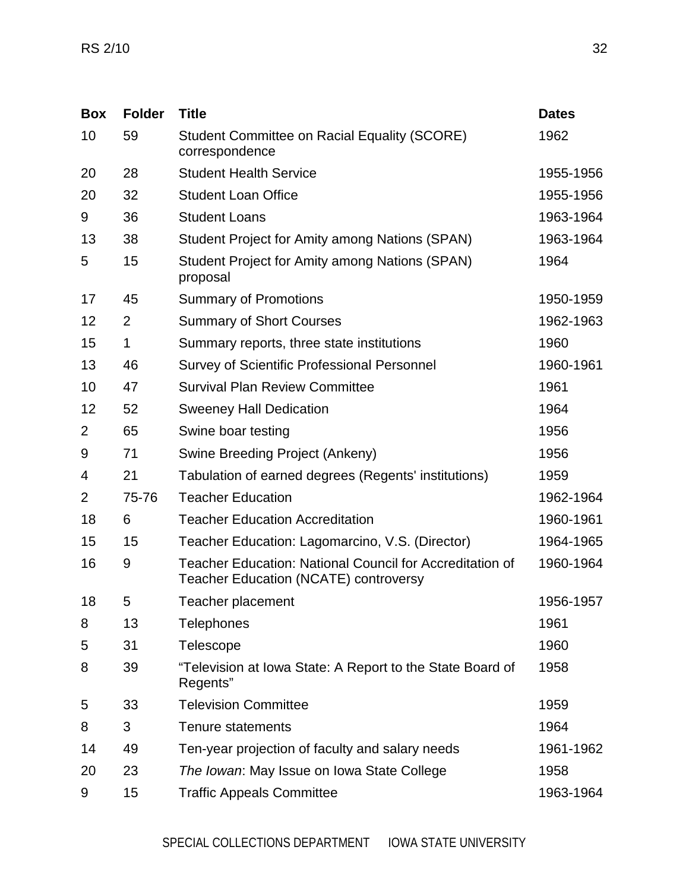| <b>Box</b>     | <b>Folder</b>  | <b>Title</b>                                                                                                    | <b>Dates</b> |
|----------------|----------------|-----------------------------------------------------------------------------------------------------------------|--------------|
| 10             | 59             | <b>Student Committee on Racial Equality (SCORE)</b><br>correspondence                                           | 1962         |
| 20             | 28             | <b>Student Health Service</b>                                                                                   | 1955-1956    |
| 20             | 32             | <b>Student Loan Office</b>                                                                                      | 1955-1956    |
| 9              | 36             | <b>Student Loans</b>                                                                                            | 1963-1964    |
| 13             | 38             | Student Project for Amity among Nations (SPAN)                                                                  | 1963-1964    |
| 5              | 15             | Student Project for Amity among Nations (SPAN)<br>proposal                                                      | 1964         |
| 17             | 45             | <b>Summary of Promotions</b>                                                                                    | 1950-1959    |
| 12             | $\overline{2}$ | <b>Summary of Short Courses</b>                                                                                 | 1962-1963    |
| 15             | 1              | Summary reports, three state institutions                                                                       | 1960         |
| 13             | 46             | <b>Survey of Scientific Professional Personnel</b>                                                              | 1960-1961    |
| 10             | 47             | <b>Survival Plan Review Committee</b>                                                                           | 1961         |
| 12             | 52             | <b>Sweeney Hall Dedication</b>                                                                                  | 1964         |
| $\overline{2}$ | 65             | Swine boar testing                                                                                              | 1956         |
| 9              | 71             | Swine Breeding Project (Ankeny)                                                                                 | 1956         |
| 4              | 21             | Tabulation of earned degrees (Regents' institutions)                                                            | 1959         |
| $\overline{2}$ | 75-76          | <b>Teacher Education</b>                                                                                        | 1962-1964    |
| 18             | 6              | <b>Teacher Education Accreditation</b>                                                                          | 1960-1961    |
| 15             | 15             | Teacher Education: Lagomarcino, V.S. (Director)                                                                 | 1964-1965    |
| 16             | 9              | <b>Teacher Education: National Council for Accreditation of</b><br><b>Teacher Education (NCATE) controversy</b> | 1960-1964    |
| 18             | 5              | Teacher placement                                                                                               | 1956-1957    |
| 8              | 13             | Telephones                                                                                                      | 1961         |
| 5              | 31             | <b>Telescope</b>                                                                                                | 1960         |
| 8              | 39             | "Television at Iowa State: A Report to the State Board of<br>Regents"                                           | 1958         |
| 5              | 33             | <b>Television Committee</b>                                                                                     | 1959         |
| 8              | 3              | Tenure statements                                                                                               | 1964         |
| 14             | 49             | Ten-year projection of faculty and salary needs                                                                 | 1961-1962    |
| 20             | 23             | The Iowan: May Issue on Iowa State College                                                                      | 1958         |
| 9              | 15             | <b>Traffic Appeals Committee</b>                                                                                | 1963-1964    |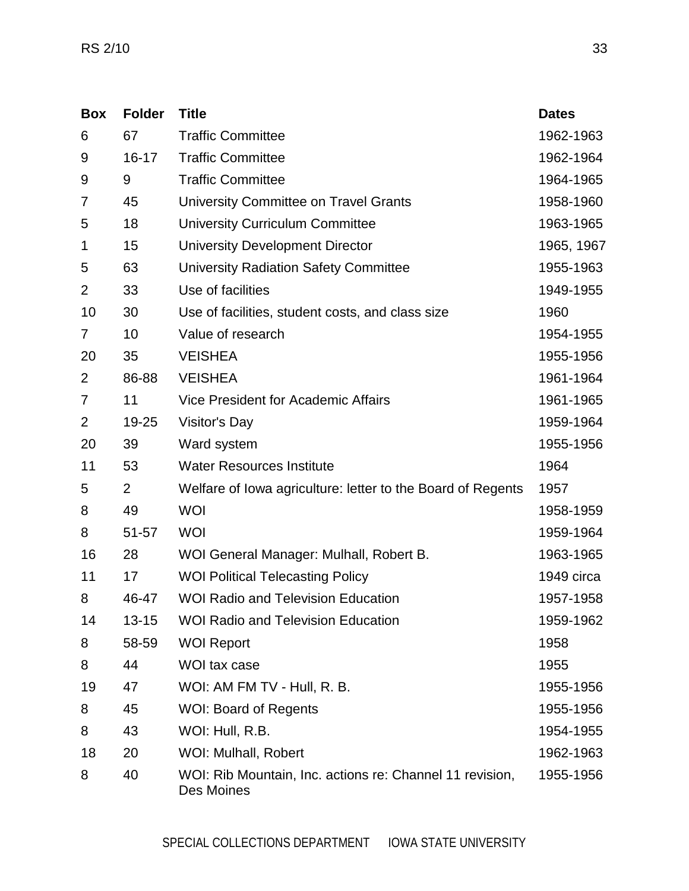| <b>Box</b>     | <b>Folder</b>  | <b>Title</b>                                                           | <b>Dates</b> |
|----------------|----------------|------------------------------------------------------------------------|--------------|
| 6              | 67             | <b>Traffic Committee</b>                                               | 1962-1963    |
| 9              | $16 - 17$      | <b>Traffic Committee</b>                                               | 1962-1964    |
| 9              | 9              | <b>Traffic Committee</b>                                               | 1964-1965    |
| 7              | 45             | University Committee on Travel Grants                                  | 1958-1960    |
| 5              | 18             | <b>University Curriculum Committee</b>                                 | 1963-1965    |
| 1              | 15             | <b>University Development Director</b>                                 | 1965, 1967   |
| 5              | 63             | <b>University Radiation Safety Committee</b>                           | 1955-1963    |
| $\overline{2}$ | 33             | Use of facilities                                                      | 1949-1955    |
| 10             | 30             | Use of facilities, student costs, and class size                       | 1960         |
| 7              | 10             | Value of research                                                      | 1954-1955    |
| 20             | 35             | <b>VEISHEA</b>                                                         | 1955-1956    |
| $\overline{2}$ | 86-88          | <b>VEISHEA</b>                                                         | 1961-1964    |
| 7              | 11             | Vice President for Academic Affairs                                    | 1961-1965    |
| $\overline{2}$ | 19-25          | Visitor's Day                                                          | 1959-1964    |
| 20             | 39             | Ward system                                                            | 1955-1956    |
| 11             | 53             | <b>Water Resources Institute</b>                                       | 1964         |
| 5              | $\overline{2}$ | Welfare of Iowa agriculture: letter to the Board of Regents            | 1957         |
| 8              | 49             | <b>WOI</b>                                                             | 1958-1959    |
| 8              | 51-57          | <b>WOI</b>                                                             | 1959-1964    |
| 16             | 28             | WOI General Manager: Mulhall, Robert B.                                | 1963-1965    |
| 11             | 17             | <b>WOI Political Telecasting Policy</b>                                | 1949 circa   |
| 8              | 46-47          | <b>WOI Radio and Television Education</b>                              | 1957-1958    |
| 14             | $13 - 15$      | <b>WOI Radio and Television Education</b>                              | 1959-1962    |
| 8              | 58-59          | <b>WOI Report</b>                                                      | 1958         |
| 8              | 44             | WOI tax case                                                           | 1955         |
| 19             | 47             | WOI: AM FM TV - Hull, R. B.                                            | 1955-1956    |
| 8              | 45             | <b>WOI: Board of Regents</b>                                           | 1955-1956    |
| 8              | 43             | WOI: Hull, R.B.                                                        | 1954-1955    |
| 18             | 20             | WOI: Mulhall, Robert                                                   | 1962-1963    |
| 8              | 40             | WOI: Rib Mountain, Inc. actions re: Channel 11 revision,<br>Des Moines | 1955-1956    |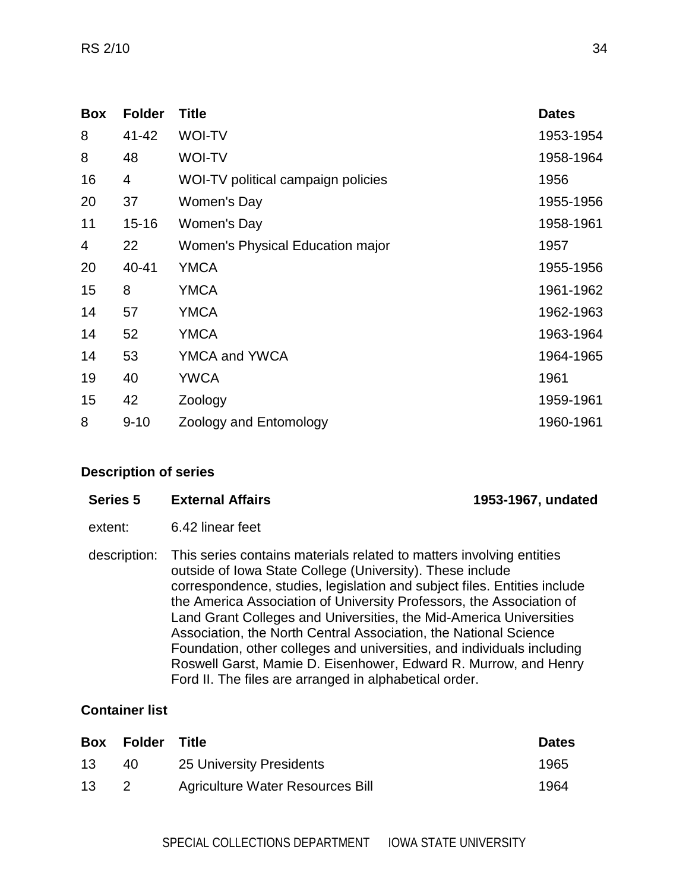| <b>Box</b> | <b>Folder</b> | <b>Title</b>                       | <b>Dates</b> |
|------------|---------------|------------------------------------|--------------|
| 8          | 41-42         | <b>WOI-TV</b>                      | 1953-1954    |
| 8          | 48            | <b>WOI-TV</b>                      | 1958-1964    |
| 16         | 4             | WOI-TV political campaign policies | 1956         |
| 20         | 37            | Women's Day                        | 1955-1956    |
| 11         | $15 - 16$     | Women's Day                        | 1958-1961    |
| 4          | 22            | Women's Physical Education major   | 1957         |
| 20         | 40-41         | <b>YMCA</b>                        | 1955-1956    |
| 15         | 8             | <b>YMCA</b>                        | 1961-1962    |
| 14         | 57            | <b>YMCA</b>                        | 1962-1963    |
| 14         | 52            | <b>YMCA</b>                        | 1963-1964    |
| 14         | 53            | YMCA and YWCA                      | 1964-1965    |
| 19         | 40            | <b>YWCA</b>                        | 1961         |
| 15         | 42            | Zoology                            | 1959-1961    |
| 8          | $9 - 10$      | Zoology and Entomology             | 1960-1961    |

<span id="page-33-0"></span>

| Series 5     | <b>External Affairs</b>                                                                                                                                                                                                                                                                                                                                                                                                                                                                                                                                                                                                                | 1953-1967, undated |
|--------------|----------------------------------------------------------------------------------------------------------------------------------------------------------------------------------------------------------------------------------------------------------------------------------------------------------------------------------------------------------------------------------------------------------------------------------------------------------------------------------------------------------------------------------------------------------------------------------------------------------------------------------------|--------------------|
| extent:      | 6.42 linear feet                                                                                                                                                                                                                                                                                                                                                                                                                                                                                                                                                                                                                       |                    |
| description: | This series contains materials related to matters involving entities<br>outside of Iowa State College (University). These include<br>correspondence, studies, legislation and subject files. Entities include<br>the America Association of University Professors, the Association of<br>Land Grant Colleges and Universities, the Mid-America Universities<br>Association, the North Central Association, the National Science<br>Foundation, other colleges and universities, and individuals including<br>Roswell Garst, Mamie D. Eisenhower, Edward R. Murrow, and Henry<br>Ford II. The files are arranged in alphabetical order. |                    |

## **Container list**

|    | Box Folder | Title                            | <b>Dates</b> |
|----|------------|----------------------------------|--------------|
| 13 | 40         | 25 University Presidents         | 1965         |
| 13 |            | Agriculture Water Resources Bill | 1964         |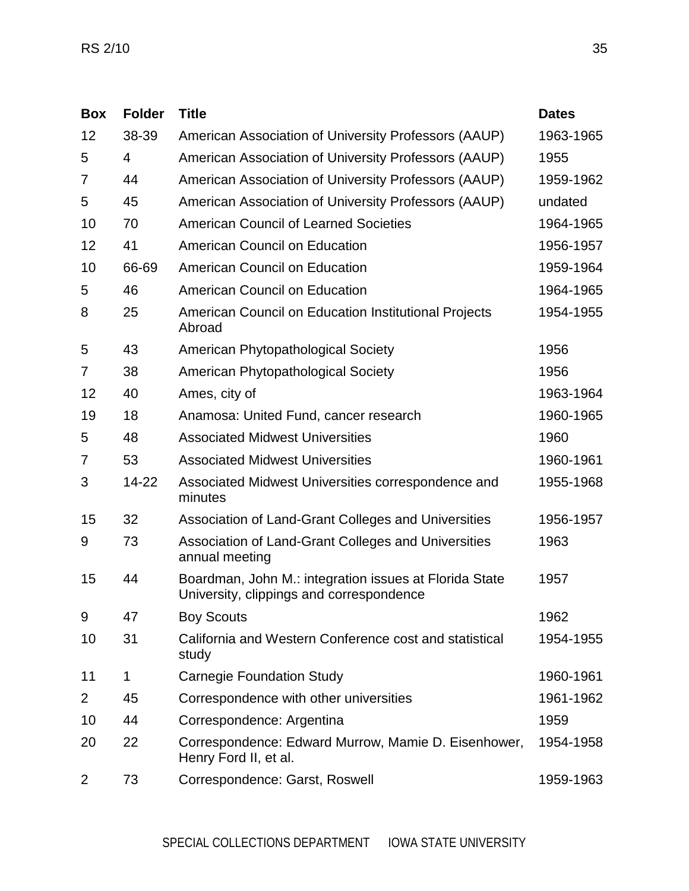| <b>Box</b>     | <b>Folder</b> | <b>Title</b>                                                                                       | <b>Dates</b> |
|----------------|---------------|----------------------------------------------------------------------------------------------------|--------------|
| 12             | 38-39         | American Association of University Professors (AAUP)                                               | 1963-1965    |
| 5              | 4             | American Association of University Professors (AAUP)                                               | 1955         |
| 7              | 44            | American Association of University Professors (AAUP)                                               | 1959-1962    |
| 5              | 45            | American Association of University Professors (AAUP)                                               | undated      |
| 10             | 70            | <b>American Council of Learned Societies</b>                                                       | 1964-1965    |
| 12             | 41            | <b>American Council on Education</b>                                                               | 1956-1957    |
| 10             | 66-69         | <b>American Council on Education</b>                                                               | 1959-1964    |
| 5              | 46            | <b>American Council on Education</b>                                                               | 1964-1965    |
| 8              | 25            | American Council on Education Institutional Projects<br>Abroad                                     | 1954-1955    |
| 5              | 43            | American Phytopathological Society                                                                 | 1956         |
| 7              | 38            | American Phytopathological Society                                                                 | 1956         |
| 12             | 40            | Ames, city of                                                                                      | 1963-1964    |
| 19             | 18            | Anamosa: United Fund, cancer research                                                              | 1960-1965    |
| 5              | 48            | <b>Associated Midwest Universities</b>                                                             | 1960         |
| 7              | 53            | <b>Associated Midwest Universities</b>                                                             | 1960-1961    |
| 3              | $14 - 22$     | Associated Midwest Universities correspondence and<br>minutes                                      | 1955-1968    |
| 15             | 32            | Association of Land-Grant Colleges and Universities                                                | 1956-1957    |
| 9              | 73            | Association of Land-Grant Colleges and Universities<br>annual meeting                              | 1963         |
| 15             | 44            | Boardman, John M.: integration issues at Florida State<br>University, clippings and correspondence | 1957         |
| 9              | 47            | <b>Boy Scouts</b>                                                                                  | 1962         |
| 10             | 31            | California and Western Conference cost and statistical<br>study                                    | 1954-1955    |
| 11             | 1             | <b>Carnegie Foundation Study</b>                                                                   | 1960-1961    |
| $\overline{2}$ | 45            | Correspondence with other universities                                                             | 1961-1962    |
| 10             | 44            | Correspondence: Argentina                                                                          | 1959         |
| 20             | 22            | Correspondence: Edward Murrow, Mamie D. Eisenhower,<br>Henry Ford II, et al.                       | 1954-1958    |
| $\overline{2}$ | 73            | Correspondence: Garst, Roswell                                                                     | 1959-1963    |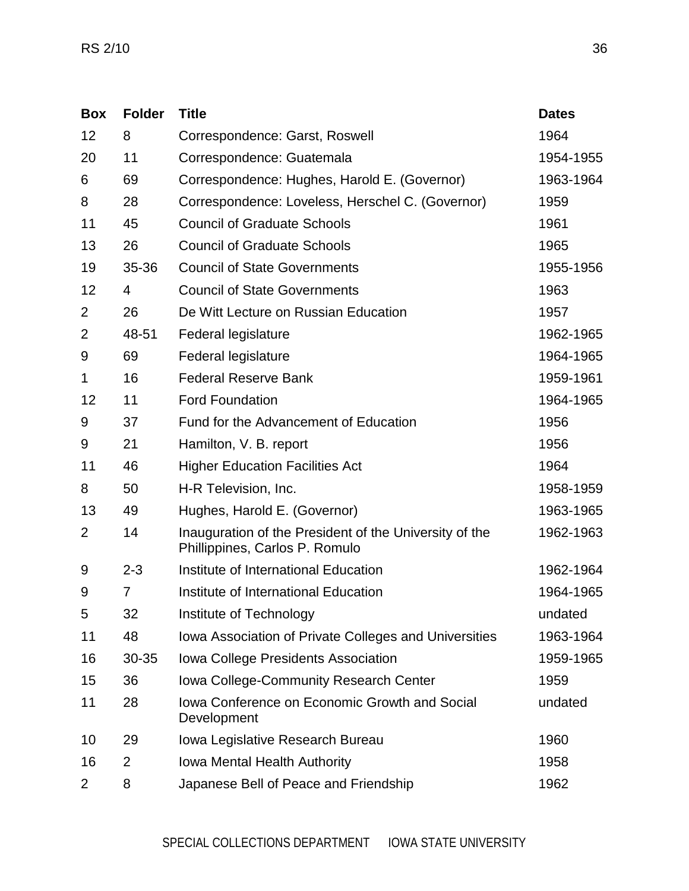| <b>Box</b>     | <b>Folder</b>  | <b>Title</b>                                                                             | <b>Dates</b> |
|----------------|----------------|------------------------------------------------------------------------------------------|--------------|
| 12             | 8              | Correspondence: Garst, Roswell                                                           | 1964         |
| 20             | 11             | Correspondence: Guatemala                                                                | 1954-1955    |
| 6              | 69             | Correspondence: Hughes, Harold E. (Governor)                                             | 1963-1964    |
| 8              | 28             | Correspondence: Loveless, Herschel C. (Governor)                                         | 1959         |
| 11             | 45             | <b>Council of Graduate Schools</b>                                                       | 1961         |
| 13             | 26             | <b>Council of Graduate Schools</b>                                                       | 1965         |
| 19             | 35-36          | <b>Council of State Governments</b>                                                      | 1955-1956    |
| 12             | 4              | <b>Council of State Governments</b>                                                      | 1963         |
| $\overline{2}$ | 26             | De Witt Lecture on Russian Education                                                     | 1957         |
| $\overline{2}$ | 48-51          | Federal legislature                                                                      | 1962-1965    |
| 9              | 69             | Federal legislature                                                                      | 1964-1965    |
| 1              | 16             | <b>Federal Reserve Bank</b>                                                              | 1959-1961    |
| 12             | 11             | <b>Ford Foundation</b>                                                                   | 1964-1965    |
| 9              | 37             | Fund for the Advancement of Education                                                    | 1956         |
| 9              | 21             | Hamilton, V. B. report                                                                   | 1956         |
| 11             | 46             | <b>Higher Education Facilities Act</b>                                                   | 1964         |
| 8              | 50             | H-R Television, Inc.                                                                     | 1958-1959    |
| 13             | 49             | Hughes, Harold E. (Governor)                                                             | 1963-1965    |
| $\overline{2}$ | 14             | Inauguration of the President of the University of the<br>Phillippines, Carlos P. Romulo | 1962-1963    |
| 9              | $2 - 3$        | Institute of International Education                                                     | 1962-1964    |
| 9              | 7              | Institute of International Education                                                     | 1964-1965    |
| 5              | 32             | Institute of Technology                                                                  | undated      |
| 11             | 48             | Iowa Association of Private Colleges and Universities                                    | 1963-1964    |
| 16             | 30-35          | Iowa College Presidents Association                                                      | 1959-1965    |
| 15             | 36             | <b>Iowa College-Community Research Center</b>                                            | 1959         |
| 11             | 28             | <b>Iowa Conference on Economic Growth and Social</b><br>Development                      | undated      |
| 10             | 29             | Iowa Legislative Research Bureau                                                         | 1960         |
| 16             | $\overline{2}$ | <b>Iowa Mental Health Authority</b>                                                      | 1958         |
| 2              | 8              | Japanese Bell of Peace and Friendship                                                    | 1962         |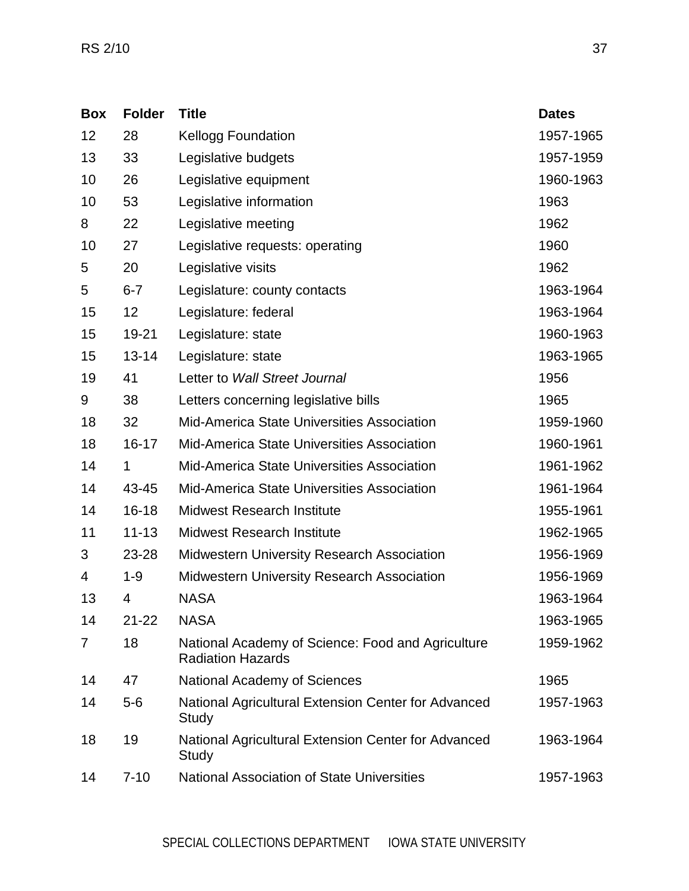| <b>Box</b> | <b>Folder</b> | <b>Title</b>                                                                  | <b>Dates</b> |
|------------|---------------|-------------------------------------------------------------------------------|--------------|
| 12         | 28            | <b>Kellogg Foundation</b>                                                     | 1957-1965    |
| 13         | 33            | Legislative budgets                                                           | 1957-1959    |
| 10         | 26            | Legislative equipment                                                         | 1960-1963    |
| 10         | 53            | Legislative information                                                       | 1963         |
| 8          | 22            | Legislative meeting                                                           | 1962         |
| 10         | 27            | Legislative requests: operating                                               | 1960         |
| 5          | 20            | Legislative visits                                                            | 1962         |
| 5          | $6 - 7$       | Legislature: county contacts                                                  | 1963-1964    |
| 15         | 12            | Legislature: federal                                                          | 1963-1964    |
| 15         | 19-21         | Legislature: state                                                            | 1960-1963    |
| 15         | $13 - 14$     | Legislature: state                                                            | 1963-1965    |
| 19         | 41            | Letter to Wall Street Journal                                                 | 1956         |
| 9          | 38            | Letters concerning legislative bills                                          | 1965         |
| 18         | 32            | <b>Mid-America State Universities Association</b>                             | 1959-1960    |
| 18         | $16 - 17$     | <b>Mid-America State Universities Association</b>                             | 1960-1961    |
| 14         | 1             | <b>Mid-America State Universities Association</b>                             | 1961-1962    |
| 14         | 43-45         | Mid-America State Universities Association                                    | 1961-1964    |
| 14         | $16 - 18$     | <b>Midwest Research Institute</b>                                             | 1955-1961    |
| 11         | $11 - 13$     | Midwest Research Institute                                                    | 1962-1965    |
| 3          | 23-28         | <b>Midwestern University Research Association</b>                             | 1956-1969    |
| 4          | $1 - 9$       | <b>Midwestern University Research Association</b>                             | 1956-1969    |
| 13         | 4             | <b>NASA</b>                                                                   | 1963-1964    |
| 14         | $21 - 22$     | <b>NASA</b>                                                                   | 1963-1965    |
| 7          | 18            | National Academy of Science: Food and Agriculture<br><b>Radiation Hazards</b> | 1959-1962    |
| 14         | 47            | <b>National Academy of Sciences</b>                                           | 1965         |
| 14         | $5-6$         | National Agricultural Extension Center for Advanced<br>Study                  | 1957-1963    |
| 18         | 19            | National Agricultural Extension Center for Advanced<br>Study                  | 1963-1964    |
| 14         | $7 - 10$      | <b>National Association of State Universities</b>                             | 1957-1963    |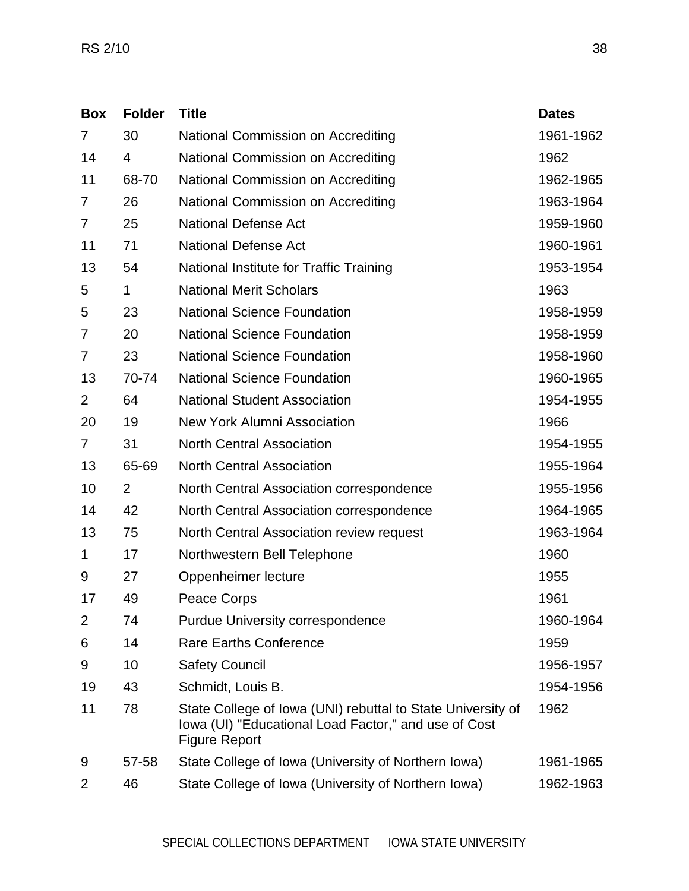| <b>Box</b>     | <b>Folder</b>  | <b>Title</b>                                                                                                                                | <b>Dates</b> |
|----------------|----------------|---------------------------------------------------------------------------------------------------------------------------------------------|--------------|
| 7              | 30             | National Commission on Accrediting                                                                                                          | 1961-1962    |
| 14             | 4              | National Commission on Accrediting                                                                                                          | 1962         |
| 11             | 68-70          | National Commission on Accrediting                                                                                                          | 1962-1965    |
| 7              | 26             | National Commission on Accrediting                                                                                                          | 1963-1964    |
| 7              | 25             | <b>National Defense Act</b>                                                                                                                 | 1959-1960    |
| 11             | 71             | <b>National Defense Act</b>                                                                                                                 | 1960-1961    |
| 13             | 54             | National Institute for Traffic Training                                                                                                     | 1953-1954    |
| 5              | 1              | <b>National Merit Scholars</b>                                                                                                              | 1963         |
| 5              | 23             | <b>National Science Foundation</b>                                                                                                          | 1958-1959    |
| 7              | 20             | <b>National Science Foundation</b>                                                                                                          | 1958-1959    |
| 7              | 23             | <b>National Science Foundation</b>                                                                                                          | 1958-1960    |
| 13             | 70-74          | <b>National Science Foundation</b>                                                                                                          | 1960-1965    |
| $\overline{2}$ | 64             | <b>National Student Association</b>                                                                                                         | 1954-1955    |
| 20             | 19             | <b>New York Alumni Association</b>                                                                                                          | 1966         |
| 7              | 31             | <b>North Central Association</b>                                                                                                            | 1954-1955    |
| 13             | 65-69          | <b>North Central Association</b>                                                                                                            | 1955-1964    |
| 10             | $\overline{2}$ | North Central Association correspondence                                                                                                    | 1955-1956    |
| 14             | 42             | North Central Association correspondence                                                                                                    | 1964-1965    |
| 13             | 75             | North Central Association review request                                                                                                    | 1963-1964    |
| 1              | 17             | Northwestern Bell Telephone                                                                                                                 | 1960         |
| 9              | 27             | Oppenheimer lecture                                                                                                                         | 1955         |
| 17             | 49             | Peace Corps                                                                                                                                 | 1961         |
| $\overline{2}$ | 74             | <b>Purdue University correspondence</b>                                                                                                     | 1960-1964    |
| 6              | 14             | <b>Rare Earths Conference</b>                                                                                                               | 1959         |
| 9              | 10             | <b>Safety Council</b>                                                                                                                       | 1956-1957    |
| 19             | 43             | Schmidt, Louis B.                                                                                                                           | 1954-1956    |
| 11             | 78             | State College of Iowa (UNI) rebuttal to State University of<br>Iowa (UI) "Educational Load Factor," and use of Cost<br><b>Figure Report</b> | 1962         |
| 9              | 57-58          | State College of Iowa (University of Northern Iowa)                                                                                         | 1961-1965    |
| 2              | 46             | State College of Iowa (University of Northern Iowa)                                                                                         | 1962-1963    |